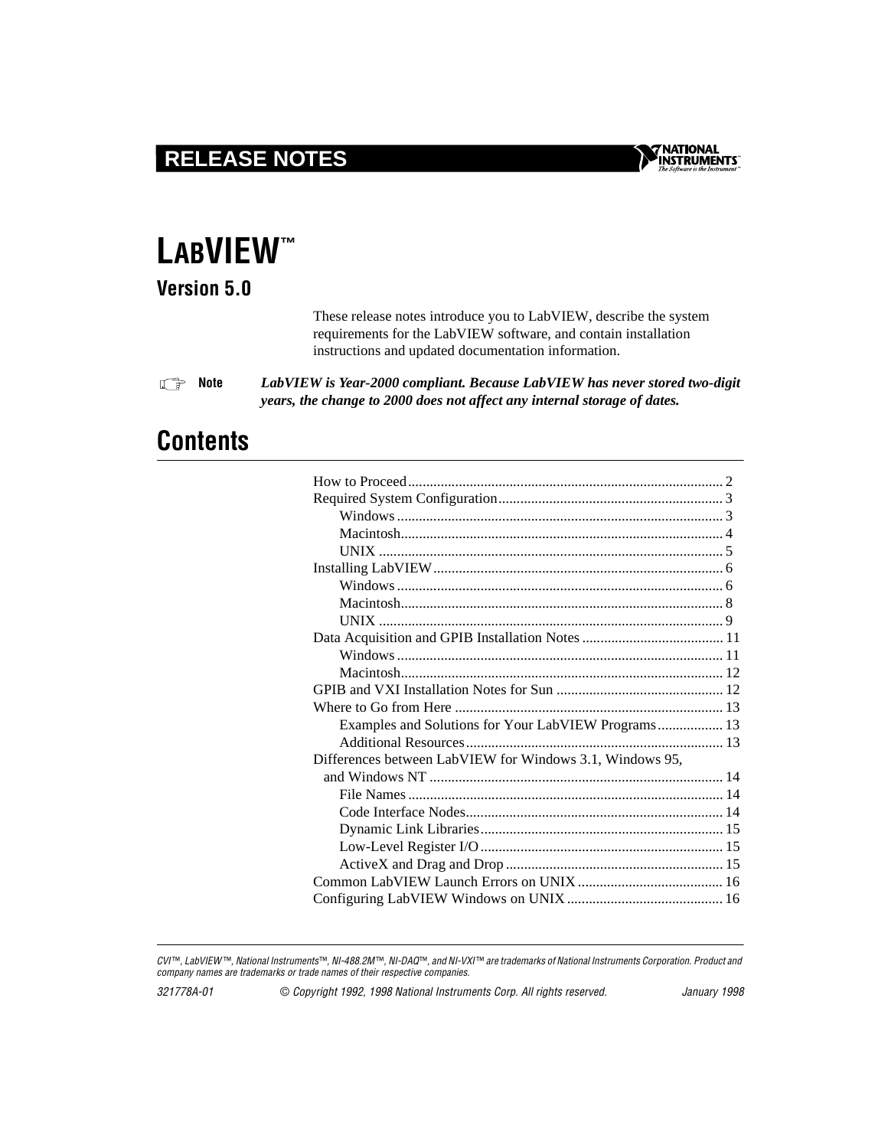# **RELEASE NOTES**



# **LABVIEW ™**

**Version 5.0**

These release notes introduce you to LabVIEW, describe the system requirements for the LabVIEW software, and contain installation instructions and updated documentation information.

 $\mathbb{F}$ **Note** *LabVIEW is Year-2000 compliant. Because LabVIEW has never stored two-digit years, the change to 2000 does not affect any internal storage of dates.*

# **Contents**

CVI<sup>™</sup>, LabVIEW<sup>™</sup>, National Instruments™, NI-488.2M™, NI-DAQ™, and NI-VXI™ are trademarks of National Instruments Corporation. Product and company names are trademarks or trade names of their respective companies.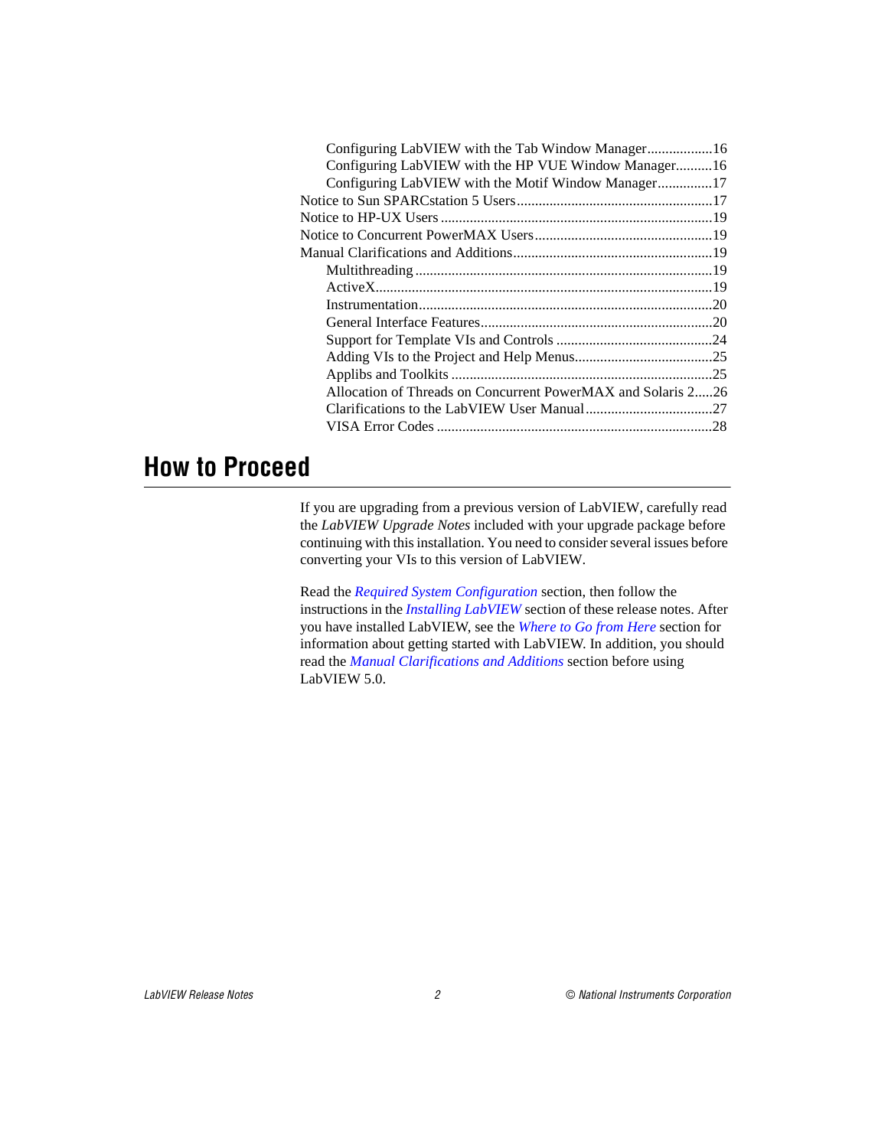<span id="page-1-0"></span>

| Configuring LabVIEW with the HP VUE Window Manager16         |  |
|--------------------------------------------------------------|--|
| Configuring LabVIEW with the Motif Window Manager17          |  |
|                                                              |  |
|                                                              |  |
|                                                              |  |
|                                                              |  |
|                                                              |  |
|                                                              |  |
|                                                              |  |
|                                                              |  |
|                                                              |  |
|                                                              |  |
|                                                              |  |
| Allocation of Threads on Concurrent PowerMAX and Solaris 226 |  |
|                                                              |  |
|                                                              |  |
|                                                              |  |

# **How to Proceed**

If you are upgrading from a previous version of LabVIEW, carefully read the *LabVIEW Upgrade Notes* included with your upgrade package before continuing with this installation. You need to consider several issues before converting your VIs to this version of LabVIEW.

Read the *[Required System Configuration](#page-2-0)* section, then follow the instructions in the *Installing LabVIEW* section of these release notes. After you have installed LabVIEW, see the *[Where to Go from Here](#page-12-0)* section for information about getting started with LabVIEW. In addition, you should read the *[Manual Clarifications and Additions](#page-18-0)* section before using LabVIEW 5.0.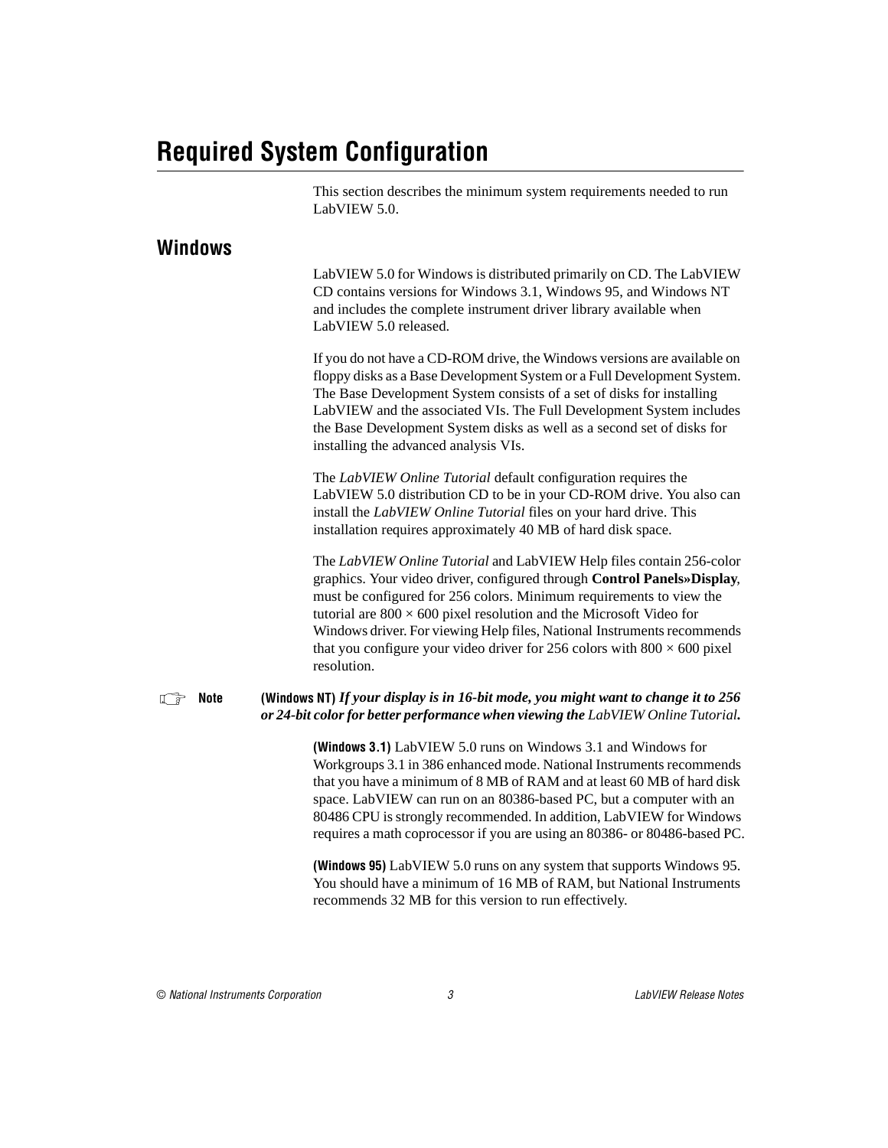# <span id="page-2-1"></span><span id="page-2-0"></span>**Required System Configuration**

This section describes the minimum system requirements needed to run LabVIEW 5.0.

#### **Windows**

LabVIEW 5.0 for Windows is distributed primarily on CD. The LabVIEW CD contains versions for Windows 3.1, Windows 95, and Windows NT and includes the complete instrument driver library available when LabVIEW 5.0 released.

If you do not have a CD-ROM drive, the Windows versions are available on floppy disks as a Base Development System or a Full Development System. The Base Development System consists of a set of disks for installing LabVIEW and the associated VIs. The Full Development System includes the Base Development System disks as well as a second set of disks for installing the advanced analysis VIs.

The *LabVIEW Online Tutorial* default configuration requires the LabVIEW 5.0 distribution CD to be in your CD-ROM drive. You also can install the *LabVIEW Online Tutorial* files on your hard drive. This installation requires approximately 40 MB of hard disk space.

The *LabVIEW Online Tutorial* and LabVIEW Help files contain 256-color graphics. Your video driver, configured through **Control Panels»Display**, must be configured for 256 colors. Minimum requirements to view the tutorial are  $800 \times 600$  pixel resolution and the Microsoft Video for Windows driver. For viewing Help files, National Instruments recommends that you configure your video driver for 256 colors with  $800 \times 600$  pixel resolution.

#### **Note** (Windows NT) *If your display is in 16-bit mode, you might want to change it to 256 or 24-bit color for better performance when viewing the LabVIEW Online Tutorial.*

**(Windows 3.1)** LabVIEW 5.0 runs on Windows 3.1 and Windows for Workgroups 3.1 in 386 enhanced mode. National Instruments recommends that you have a minimum of 8 MB of RAM and at least 60 MB of hard disk space. LabVIEW can run on an 80386-based PC, but a computer with an 80486 CPU is strongly recommended. In addition, LabVIEW for Windows requires a math coprocessor if you are using an 80386- or 80486-based PC.

**(Windows 95)** LabVIEW 5.0 runs on any system that supports Windows 95. You should have a minimum of 16 MB of RAM, but National Instruments recommends 32 MB for this version to run effectively.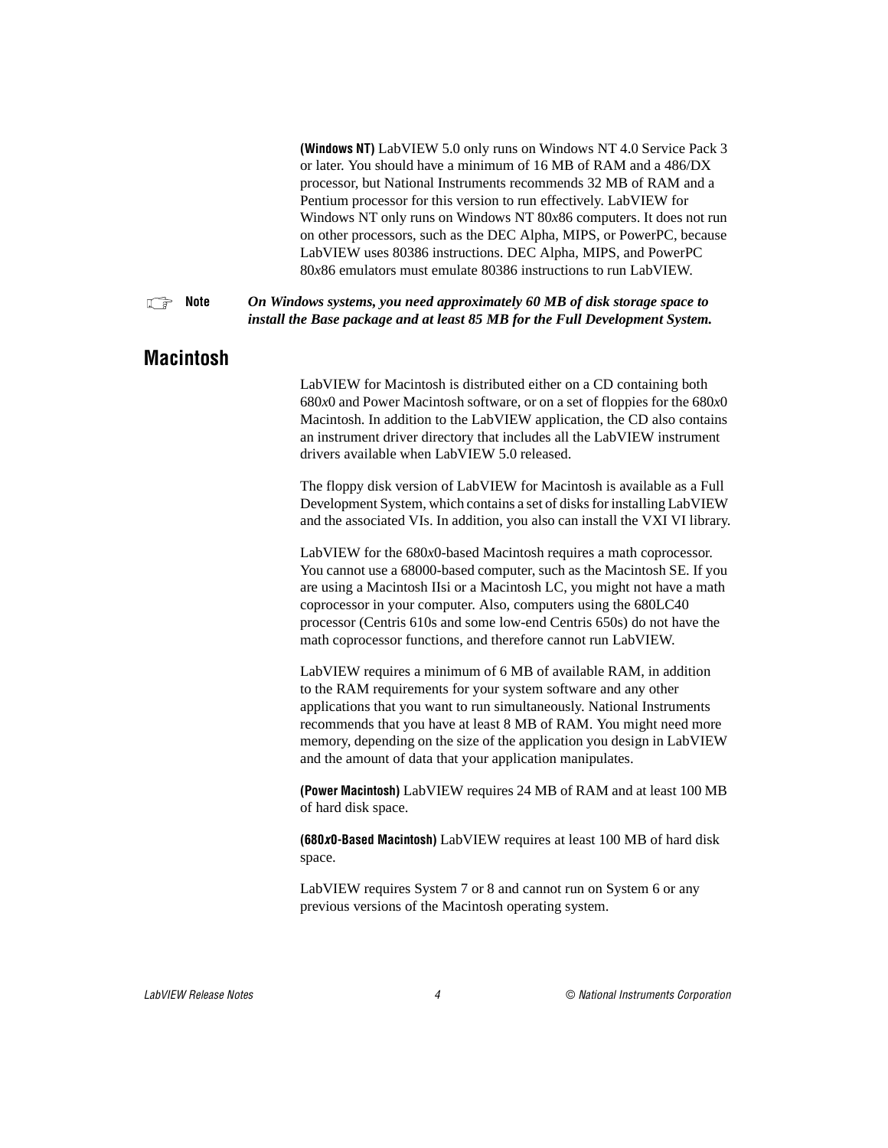**(Windows NT)** LabVIEW 5.0 only runs on Windows NT 4.0 Service Pack 3 or later. You should have a minimum of 16 MB of RAM and a 486/DX processor, but National Instruments recommends 32 MB of RAM and a Pentium processor for this version to run effectively. LabVIEW for Windows NT only runs on Windows NT 80*x*86 computers. It does not run on other processors, such as the DEC Alpha, MIPS, or PowerPC, because LabVIEW uses 80386 instructions. DEC Alpha, MIPS, and PowerPC 80*x*86 emulators must emulate 80386 instructions to run LabVIEW.

<span id="page-3-0"></span>**Note** *On Windows systems, you need approximately 60 MB of disk storage space to install the Base package and at least 85 MB for the Full Development System.*

#### **Macintosh**

LabVIEW for Macintosh is distributed either on a CD containing both 680*x*0 and Power Macintosh software, or on a set of floppies for the 680*x*0 Macintosh. In addition to the LabVIEW application, the CD also contains an instrument driver directory that includes all the LabVIEW instrument drivers available when LabVIEW 5.0 released.

The floppy disk version of LabVIEW for Macintosh is available as a Full Development System, which contains a set of disks for installing LabVIEW and the associated VIs. In addition, you also can install the VXI VI library.

LabVIEW for the 680*x*0-based Macintosh requires a math coprocessor. You cannot use a 68000-based computer, such as the Macintosh SE. If you are using a Macintosh IIsi or a Macintosh LC, you might not have a math coprocessor in your computer. Also, computers using the 680LC40 processor (Centris 610s and some low-end Centris 650s) do not have the math coprocessor functions, and therefore cannot run LabVIEW.

LabVIEW requires a minimum of 6 MB of available RAM, in addition to the RAM requirements for your system software and any other applications that you want to run simultaneously. National Instruments recommends that you have at least 8 MB of RAM. You might need more memory, depending on the size of the application you design in LabVIEW and the amount of data that your application manipulates.

**(Power Macintosh)** LabVIEW requires 24 MB of RAM and at least 100 MB of hard disk space.

**(680x0-Based Macintosh)** LabVIEW requires at least 100 MB of hard disk space.

LabVIEW requires System 7 or 8 and cannot run on System 6 or any previous versions of the Macintosh operating system.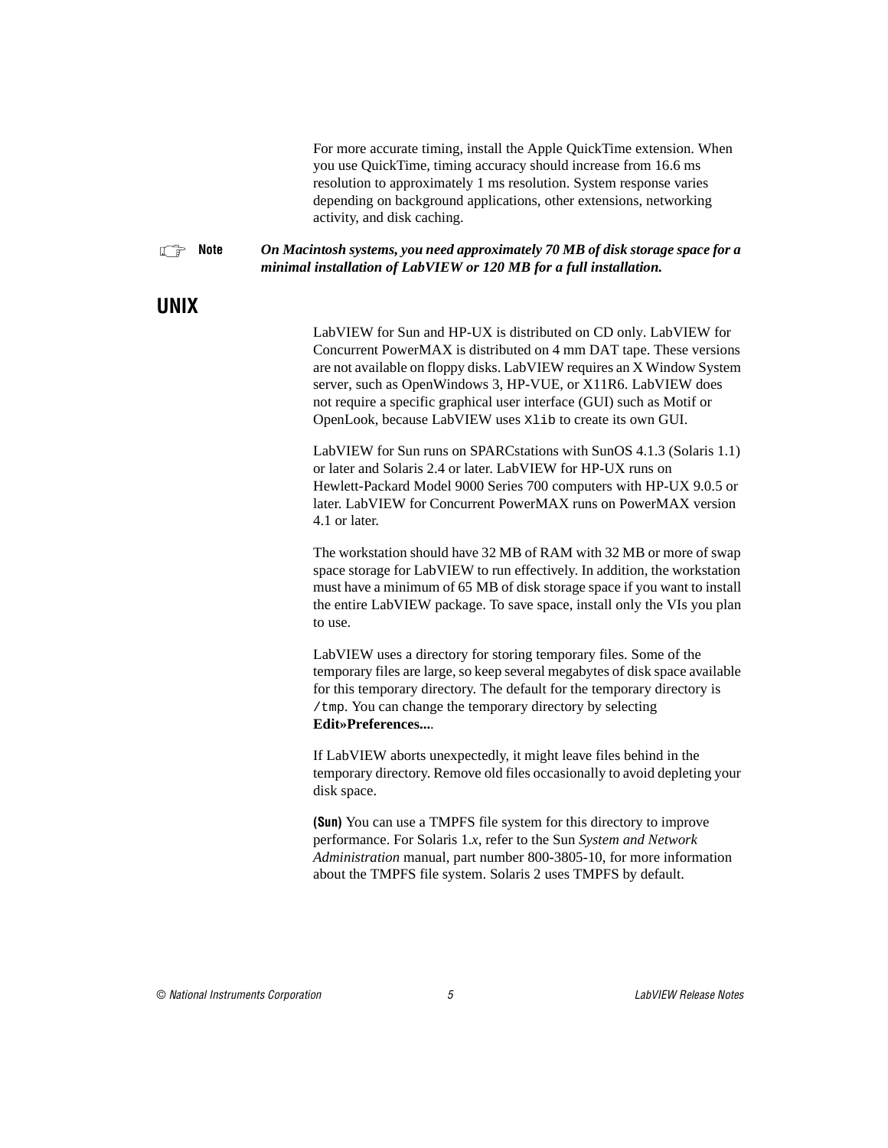For more accurate timing, install the Apple QuickTime extension. When you use QuickTime, timing accuracy should increase from 16.6 ms resolution to approximately 1 ms resolution. System response varies depending on background applications, other extensions, networking activity, and disk caching.

#### <span id="page-4-0"></span>**Note** *On Macintosh systems, you need approximately 70 MB of disk storage space for a minimal installation of LabVIEW or 120 MB for a full installation.*

### **UNIX**

LabVIEW for Sun and HP-UX is distributed on CD only. LabVIEW for Concurrent PowerMAX is distributed on 4 mm DAT tape. These versions are not available on floppy disks. LabVIEW requires an X Window System server, such as OpenWindows 3, HP-VUE, or X11R6. LabVIEW does not require a specific graphical user interface (GUI) such as Motif or OpenLook, because LabVIEW uses Xlib to create its own GUI.

LabVIEW for Sun runs on SPARCstations with SunOS 4.1.3 (Solaris 1.1) or later and Solaris 2.4 or later. LabVIEW for HP-UX runs on Hewlett-Packard Model 9000 Series 700 computers with HP-UX 9.0.5 or later. LabVIEW for Concurrent PowerMAX runs on PowerMAX version 4.1 or later.

The workstation should have 32 MB of RAM with 32 MB or more of swap space storage for LabVIEW to run effectively. In addition, the workstation must have a minimum of 65 MB of disk storage space if you want to install the entire LabVIEW package. To save space, install only the VIs you plan to use.

LabVIEW uses a directory for storing temporary files. Some of the temporary files are large, so keep several megabytes of disk space available for this temporary directory. The default for the temporary directory is /tmp. You can change the temporary directory by selecting **Edit»Preferences...**.

If LabVIEW aborts unexpectedly, it might leave files behind in the temporary directory. Remove old files occasionally to avoid depleting your disk space.

**(Sun)** You can use a TMPFS file system for this directory to improve performance. For Solaris 1.*x*, refer to the Sun *System and Network Administration* manual, part number 800-3805-10, for more information about the TMPFS file system. Solaris 2 uses TMPFS by default.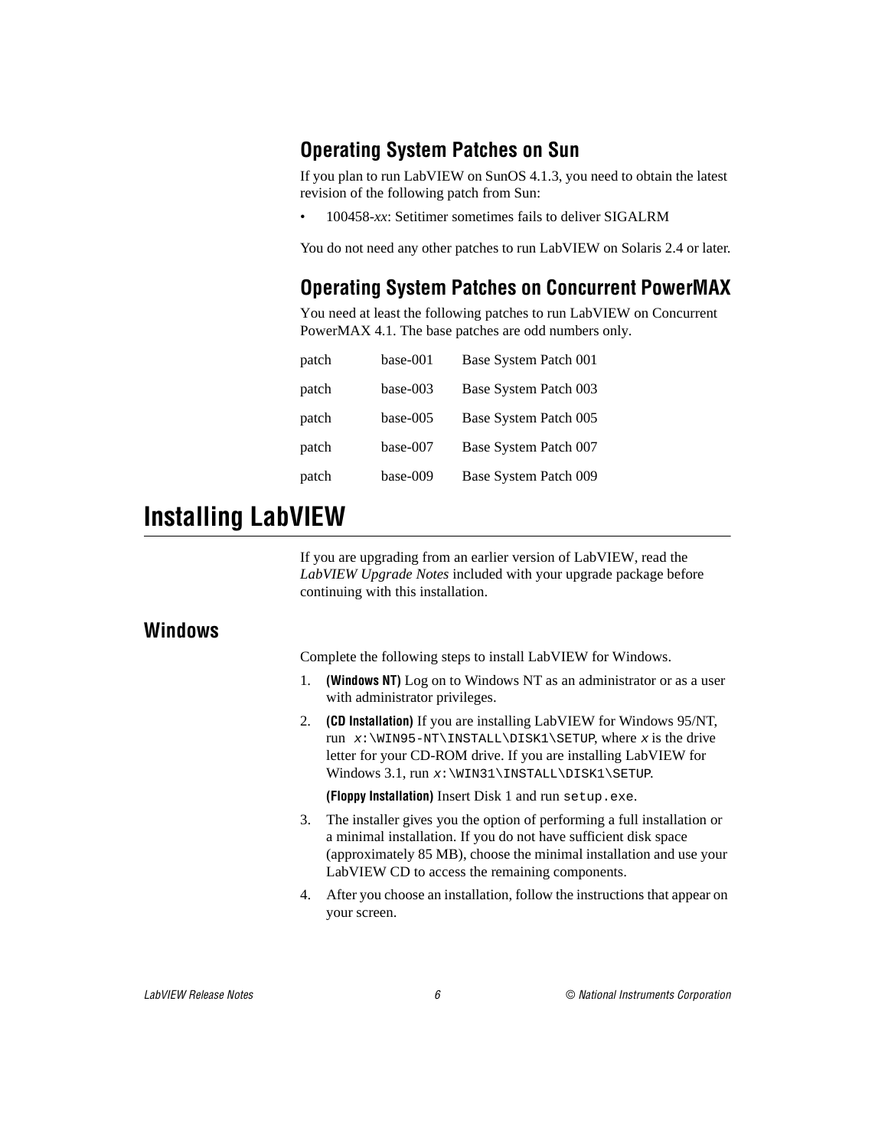### <span id="page-5-0"></span>**Operating System Patches on Sun**

If you plan to run LabVIEW on SunOS 4.1.3, you need to obtain the latest revision of the following patch from Sun:

• 100458-*xx*: Setitimer sometimes fails to deliver SIGALRM

You do not need any other patches to run LabVIEW on Solaris 2.4 or later.

## **Operating System Patches on Concurrent PowerMAX**

You need at least the following patches to run LabVIEW on Concurrent PowerMAX 4.1. The base patches are odd numbers only.

| patch | base-001   | Base System Patch 001 |
|-------|------------|-----------------------|
| patch | $base-003$ | Base System Patch 003 |
| patch | base-005   | Base System Patch 005 |
| patch | base-007   | Base System Patch 007 |
| patch | base-009   | Base System Patch 009 |

# **Installing LabVIEW**

If you are upgrading from an earlier version of LabVIEW, read the *LabVIEW Upgrade Notes* included with your upgrade package before continuing with this installation.

#### **Windows**

Complete the following steps to install LabVIEW for Windows.

- 1. **(Windows NT)** Log on to Windows NT as an administrator or as a user with administrator privileges.
- 2. **(CD Installation)** If you are installing LabVIEW for Windows 95/NT, run  $x:\W1N95-NT\InSTALL\DISK1\SETUP, where x is the drive$ letter for your CD-ROM drive. If you are installing LabVIEW for Windows 3.1, run x:\WIN31\INSTALL\DISK1\SETUP.

**(Floppy Installation)** Insert Disk 1 and run setup.exe.

- 3. The installer gives you the option of performing a full installation or a minimal installation. If you do not have sufficient disk space (approximately 85 MB), choose the minimal installation and use your LabVIEW CD to access the remaining components.
- 4. After you choose an installation, follow the instructions that appear on your screen.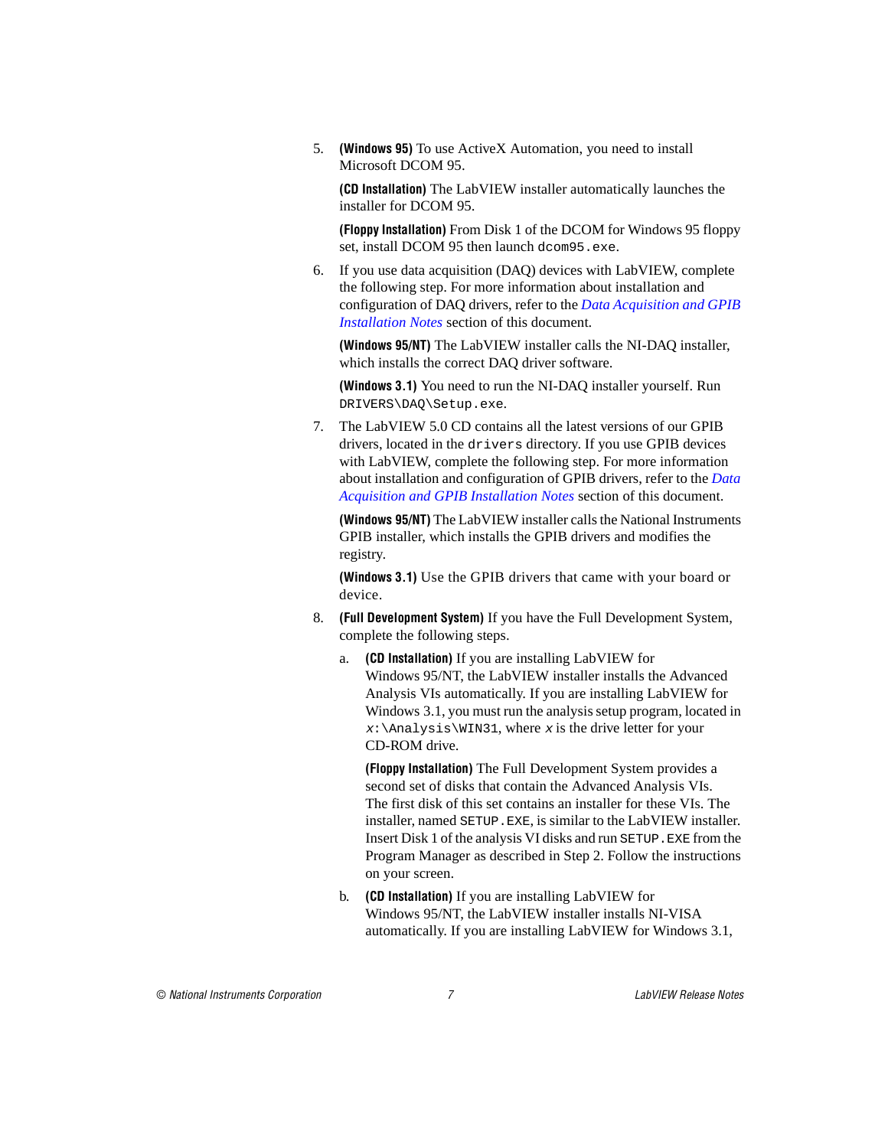5. **(Windows 95)** To use ActiveX Automation, you need to install Microsoft DCOM 95.

**(CD Installation)** The LabVIEW installer automatically launches the installer for DCOM 95.

**(Floppy Installation)** From Disk 1 of the DCOM for Windows 95 floppy set, install DCOM 95 then launch dcom95.exe.

6. If you use data acquisition (DAQ) devices with LabVIEW, complete the following step. For more information about installation and configuration of DAQ drivers, refer to the *[Data Acquisition and GPIB](#page-10-1)  [Installation Notes](#page-10-1)* section of this document.

**(Windows 95/NT)** The LabVIEW installer calls the NI-DAQ installer, which installs the correct DAQ driver software.

**(Windows 3.1)** You need to run the NI-DAQ installer yourself. Run DRIVERS\DAQ\Setup.exe.

7. The LabVIEW 5.0 CD contains all the latest versions of our GPIB drivers, located in the drivers directory. If you use GPIB devices with LabVIEW, complete the following step. For more information about installation and configuration of GPIB drivers, refer to the *[Data](#page-10-1)  [Acquisition and GPIB Installation Notes](#page-10-1)* section of this document.

**(Windows 95/NT)** The LabVIEW installer calls the National Instruments GPIB installer, which installs the GPIB drivers and modifies the registry.

**(Windows 3.1)** Use the GPIB drivers that came with your board or device.

- 8. **(Full Development System)** If you have the Full Development System, complete the following steps.
	- a. **(CD Installation)** If you are installing LabVIEW for Windows 95/NT, the LabVIEW installer installs the Advanced Analysis VIs automatically. If you are installing LabVIEW for Windows 3.1, you must run the analysis setup program, located in  $x:\lambda \geq x$ :  $\max 31$ , where x is the drive letter for your CD-ROM drive.

**(Floppy Installation)** The Full Development System provides a second set of disks that contain the Advanced Analysis VIs. The first disk of this set contains an installer for these VIs. The installer, named SETUP.EXE, is similar to the LabVIEW installer. Insert Disk 1 of the analysis VI disks and run SETUP.EXE from the Program Manager as described in Step 2. Follow the instructions on your screen.

b. **(CD Installation)** If you are installing LabVIEW for Windows 95/NT, the LabVIEW installer installs NI-VISA automatically. If you are installing LabVIEW for Windows 3.1,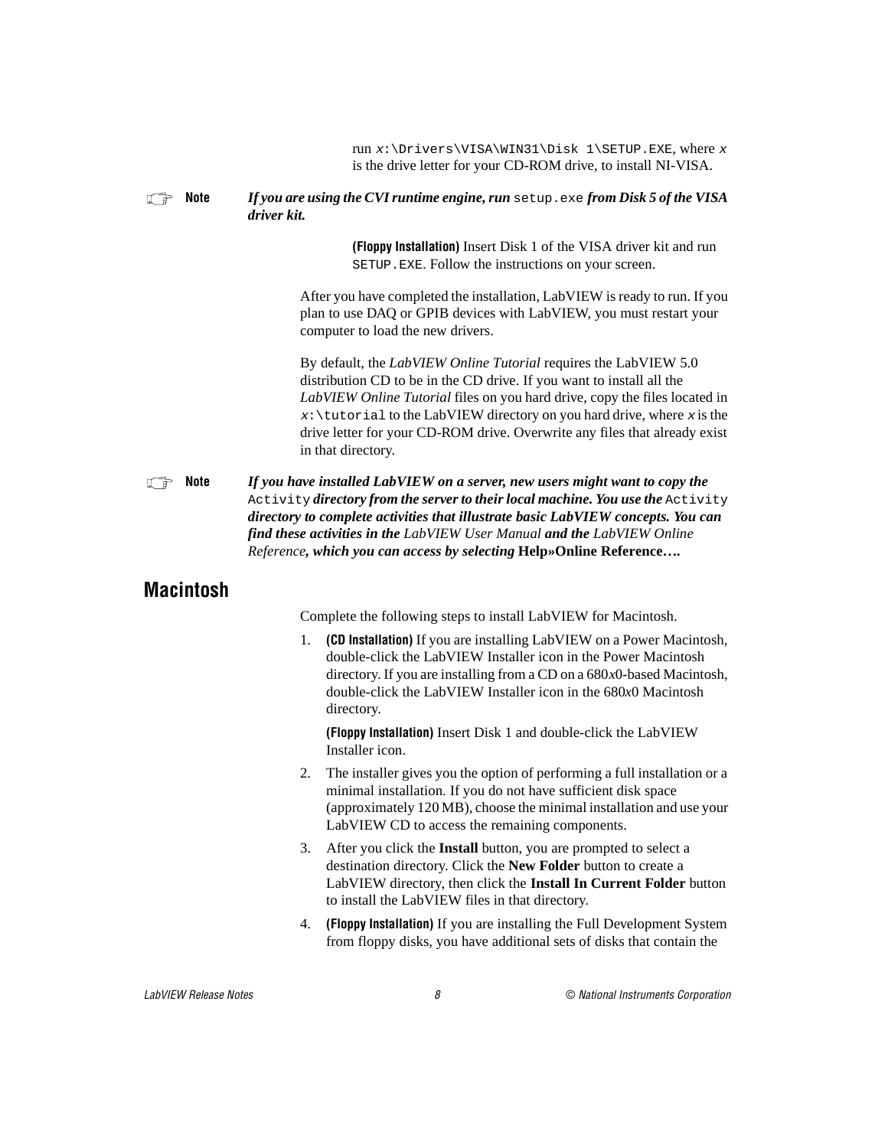run  $x:\Dpsilon\VISA\WIN31\Disk 1\SETUP.EXE, where x$ is the drive letter for your CD-ROM drive, to install NI-VISA.

#### <span id="page-7-0"></span>**Note** *If you are using the CVI runtime engine, run* setup.exe from Disk 5 of the VISA *driver kit.*

**(Floppy Installation)** Insert Disk 1 of the VISA driver kit and run SETUP.EXE. Follow the instructions on your screen.

After you have completed the installation, LabVIEW is ready to run. If you plan to use DAQ or GPIB devices with LabVIEW, you must restart your computer to load the new drivers.

By default, the *LabVIEW Online Tutorial* requires the LabVIEW 5.0 distribution CD to be in the CD drive. If you want to install all the *LabVIEW Online Tutorial* files on you hard drive, copy the files located in  $x:\text{tutorial to the LabVIEW directory on you hard drive, where } x \text{ is the}$ drive letter for your CD-ROM drive. Overwrite any files that already exist in that directory.

**If all a** *If you have installed LabVIEW on a server, new users might want to copy the* Activity *directory from the server to their local machine. You use the* Activity *directory to complete activities that illustrate basic LabVIEW concepts. You can find these activities in the LabVIEW User Manual and the LabVIEW Online Reference, which you can access by selecting* **Help»Online Reference…***.*

### **Macintosh**

Complete the following steps to install LabVIEW for Macintosh.

1. **(CD Installation)** If you are installing LabVIEW on a Power Macintosh, double-click the LabVIEW Installer icon in the Power Macintosh directory. If you are installing from a CD on a 680*x*0-based Macintosh, double-click the LabVIEW Installer icon in the 680*x*0 Macintosh directory.

**(Floppy Installation)** Insert Disk 1 and double-click the LabVIEW Installer icon.

- 2. The installer gives you the option of performing a full installation or a minimal installation. If you do not have sufficient disk space (approximately 120 MB), choose the minimal installation and use your LabVIEW CD to access the remaining components.
- 3. After you click the **Install** button, you are prompted to select a destination directory. Click the **New Folder** button to create a LabVIEW directory, then click the **Install In Current Folder** button to install the LabVIEW files in that directory.
- 4. **(Floppy Installation)** If you are installing the Full Development System from floppy disks, you have additional sets of disks that contain the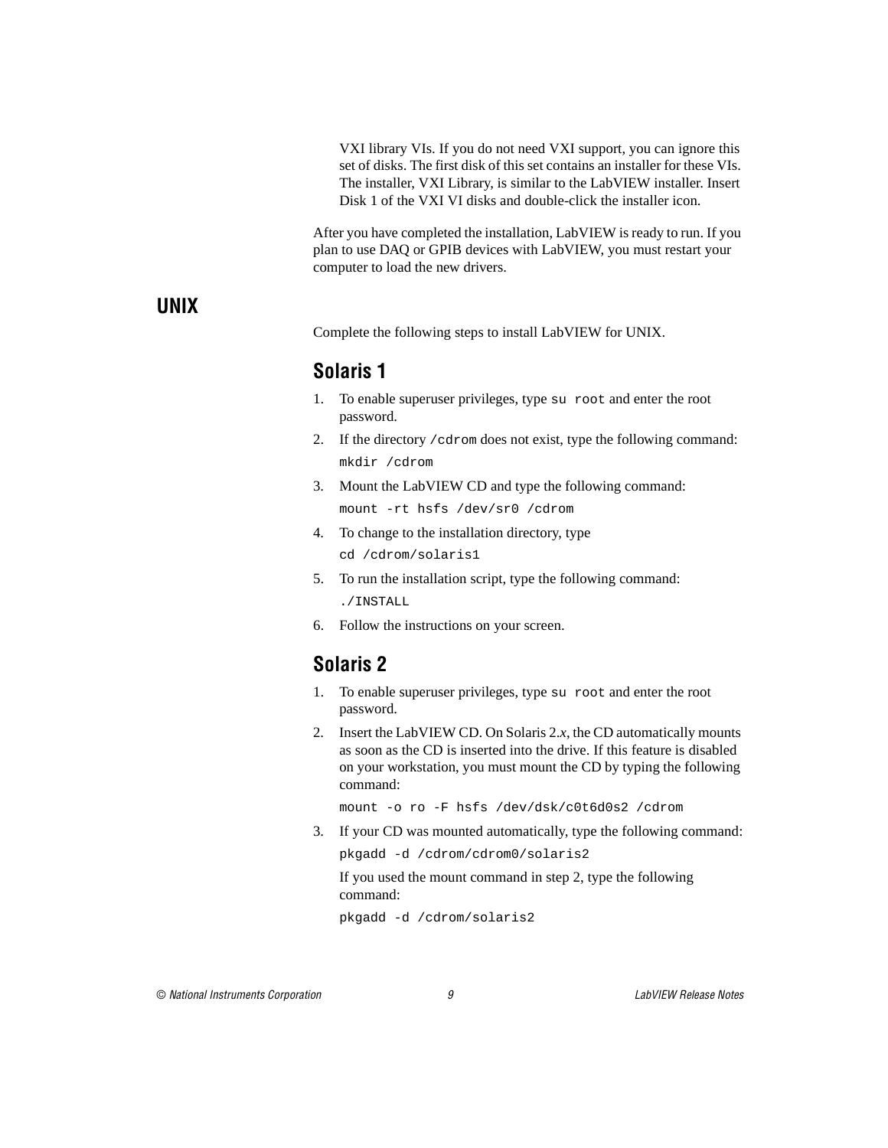VXI library VIs. If you do not need VXI support, you can ignore this set of disks. The first disk of this set contains an installer for these VIs. The installer, VXI Library, is similar to the LabVIEW installer. Insert Disk 1 of the VXI VI disks and double-click the installer icon.

After you have completed the installation, LabVIEW is ready to run. If you plan to use DAQ or GPIB devices with LabVIEW, you must restart your computer to load the new drivers.

#### <span id="page-8-0"></span>**UNIX**

Complete the following steps to install LabVIEW for UNIX.

## **Solaris 1**

- 1. To enable superuser privileges, type su root and enter the root password.
- 2. If the directory /cdrom does not exist, type the following command: mkdir /cdrom
- 3. Mount the LabVIEW CD and type the following command: mount -rt hsfs /dev/sr0 /cdrom
- 4. To change to the installation directory, type cd /cdrom/solaris1
- 5. To run the installation script, type the following command: ./INSTALL
- 6. Follow the instructions on your screen.

# **Solaris 2**

- 1. To enable superuser privileges, type su root and enter the root password.
- 2. Insert the LabVIEW CD. On Solaris 2.*x*, the CD automatically mounts as soon as the CD is inserted into the drive. If this feature is disabled on your workstation, you must mount the CD by typing the following command:

mount -o ro -F hsfs /dev/dsk/c0t6d0s2 /cdrom

3. If your CD was mounted automatically, type the following command:

pkgadd -d /cdrom/cdrom0/solaris2

If you used the mount command in step 2, type the following command:

pkgadd -d /cdrom/solaris2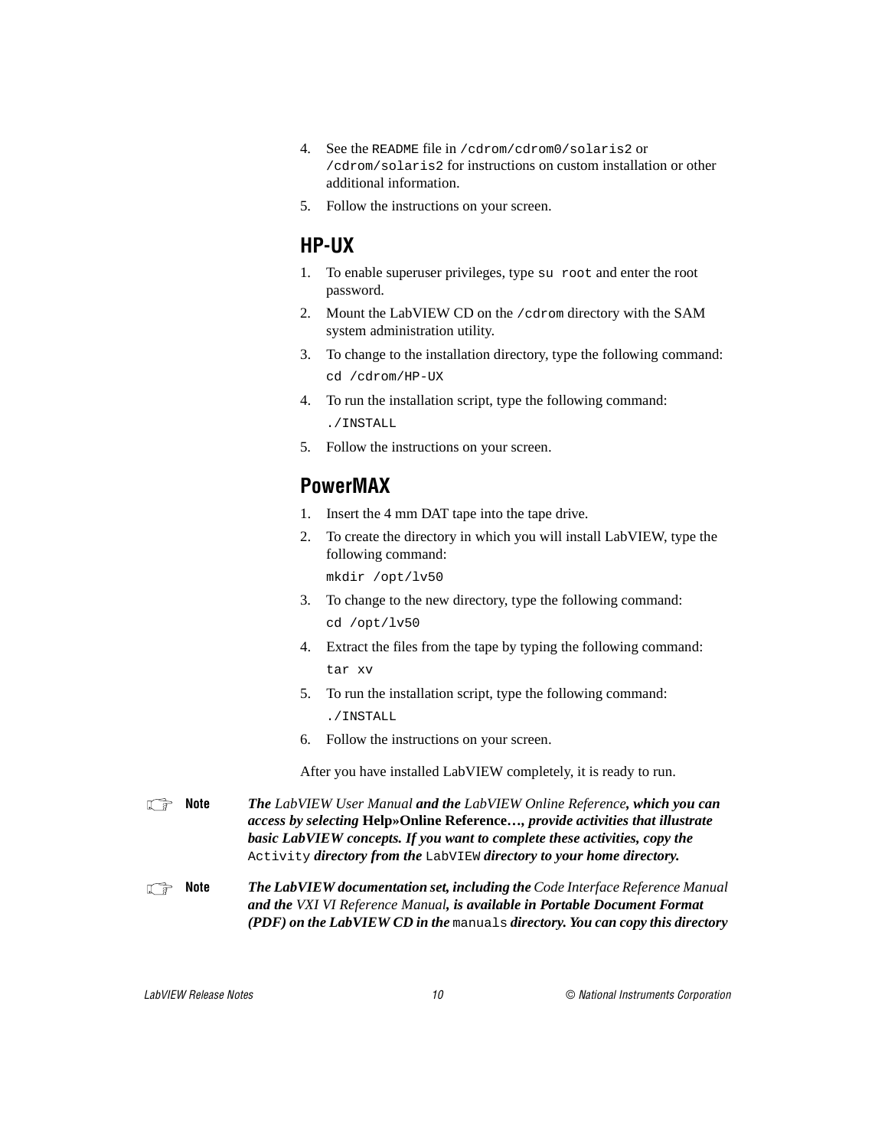- 4. See the README file in /cdrom/cdrom0/solaris2 or /cdrom/solaris2 for instructions on custom installation or other additional information.
- 5. Follow the instructions on your screen.

### **HP-UX**

- 1. To enable superuser privileges, type su root and enter the root password.
- 2. Mount the LabVIEW CD on the /cdrom directory with the SAM system administration utility.
- 3. To change to the installation directory, type the following command: cd /cdrom/HP-UX
- 4. To run the installation script, type the following command: ./INSTALL
- 5. Follow the instructions on your screen.

# **PowerMAX**

- 1. Insert the 4 mm DAT tape into the tape drive.
- 2. To create the directory in which you will install LabVIEW, type the following command:

mkdir /opt/lv50

- 3. To change to the new directory, type the following command: cd /opt/lv50
- 4. Extract the files from the tape by typing the following command: tar xv
- 5. To run the installation script, type the following command: ./INSTALL
- 6. Follow the instructions on your screen.

After you have installed LabVIEW completely, it is ready to run.

**Note** *The LabVIEW User Manual and the LabVIEW Online Reference, which you can access by selecting* **Help»Online Reference…***, provide activities that illustrate basic LabVIEW concepts. If you want to complete these activities, copy the*  Activity *directory from the* LabVIEW *directory to your home directory.* 

#### **Note** *The LabVIEW documentation set, including the Code Interface Reference Manual and the VXI VI Reference Manual, is available in Portable Document Format (PDF) on the LabVIEW CD in the* manuals *directory. You can copy this directory*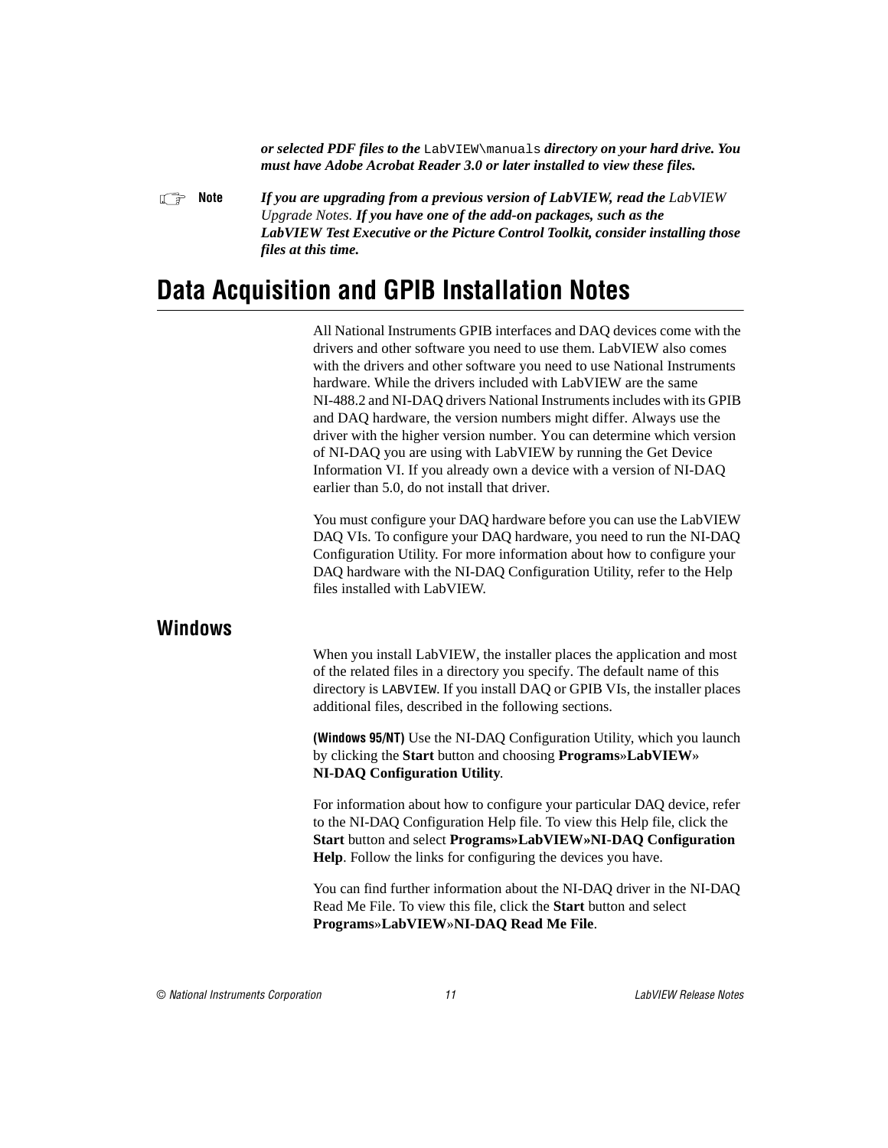*or selected PDF files to the* LabVIEW\manuals *directory on your hard drive. You must have Adobe Acrobat Reader 3.0 or later installed to view these files.*

<span id="page-10-1"></span><span id="page-10-0"></span>**Note** *If you are upgrading from a previous version of LabVIEW, read the LabVIEW Upgrade Notes. If you have one of the add-on packages, such as the LabVIEW Test Executive or the Picture Control Toolkit, consider installing those files at this time.*

# **Data Acquisition and GPIB Installation Notes**

All National Instruments GPIB interfaces and DAQ devices come with the drivers and other software you need to use them. LabVIEW also comes with the drivers and other software you need to use National Instruments hardware. While the drivers included with LabVIEW are the same NI-488.2 and NI-DAQ drivers National Instruments includes with its GPIB and DAQ hardware, the version numbers might differ. Always use the driver with the higher version number. You can determine which version of NI-DAQ you are using with LabVIEW by running the Get Device Information VI. If you already own a device with a version of NI-DAQ earlier than 5.0, do not install that driver.

You must configure your DAQ hardware before you can use the LabVIEW DAQ VIs. To configure your DAQ hardware, you need to run the NI-DAQ Configuration Utility. For more information about how to configure your DAQ hardware with the NI-DAQ Configuration Utility, refer to the Help files installed with LabVIEW.

#### **Windows**

When you install LabVIEW, the installer places the application and most of the related files in a directory you specify. The default name of this directory is LABVIEW. If you install DAQ or GPIB VIs, the installer places additional files, described in the following sections.

**(Windows 95/NT)** Use the NI-DAQ Configuration Utility, which you launch by clicking the **Start** button and choosing **Programs**»**LabVIEW**» **NI-DAQ Configuration Utility**.

For information about how to configure your particular DAQ device, refer to the NI-DAQ Configuration Help file. To view this Help file, click the **Start** button and select **Programs»LabVIEW»NI-DAQ Configuration Help**. Follow the links for configuring the devices you have.

You can find further information about the NI-DAQ driver in the NI-DAQ Read Me File. To view this file, click the **Start** button and select **Programs**»**LabVIEW**»**NI-DAQ Read Me File**.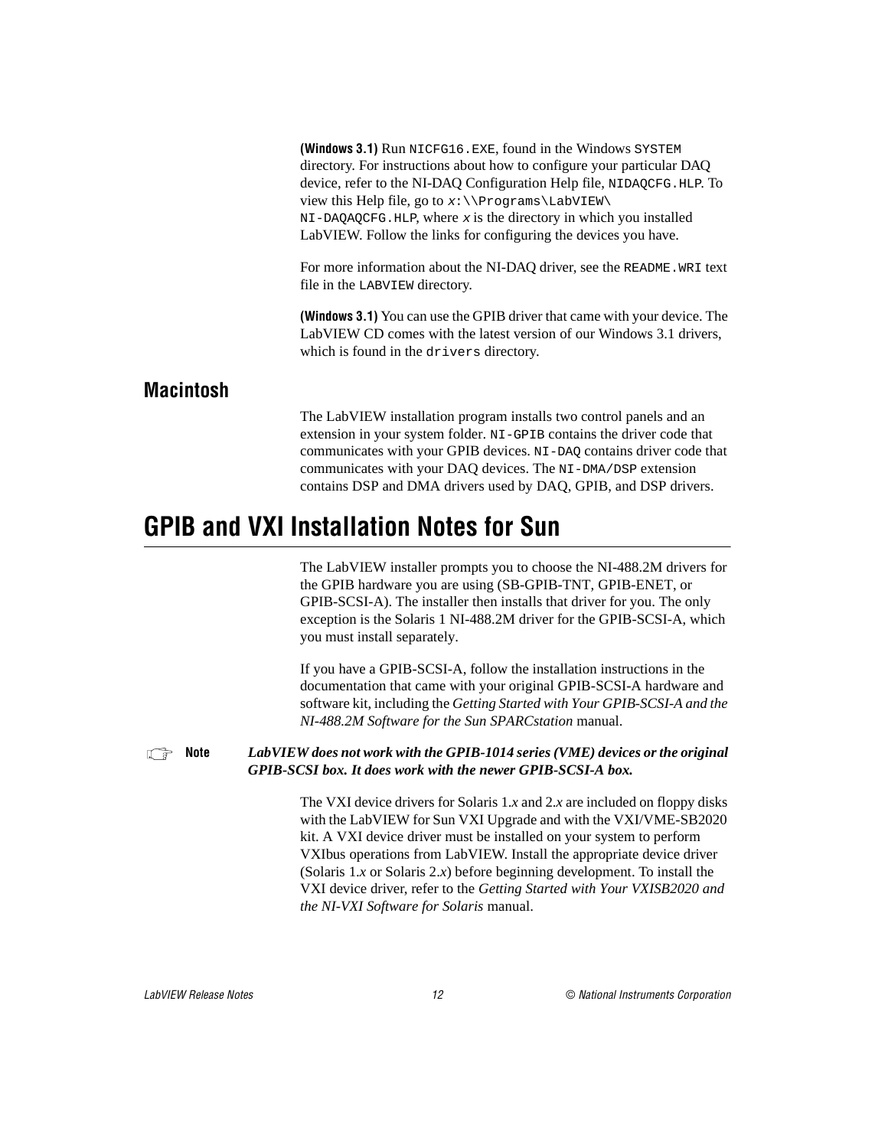<span id="page-11-0"></span>

|           | (Windows 3.1) Run NICFG16. EXE, found in the Windows SYSTEM                                                                                                                                                                                                                                                                                                |  |  |
|-----------|------------------------------------------------------------------------------------------------------------------------------------------------------------------------------------------------------------------------------------------------------------------------------------------------------------------------------------------------------------|--|--|
|           | directory. For instructions about how to configure your particular DAQ                                                                                                                                                                                                                                                                                     |  |  |
|           | device, refer to the NI-DAQ Configuration Help file, NIDAQCFG. HLP. To                                                                                                                                                                                                                                                                                     |  |  |
|           | view this Help file, go to $x:\1\text{Prooframs\}_{\text{EWI}}$                                                                                                                                                                                                                                                                                            |  |  |
|           | $NI$ -DAQAQCFG.HLP, where x is the directory in which you installed                                                                                                                                                                                                                                                                                        |  |  |
|           | LabVIEW. Follow the links for configuring the devices you have.                                                                                                                                                                                                                                                                                            |  |  |
|           | For more information about the NI-DAQ driver, see the README. WRI text<br>file in the LABVIEW directory.                                                                                                                                                                                                                                                   |  |  |
|           | <b>(Windows 3.1)</b> You can use the GPIB driver that came with your device. The<br>LabVIEW CD comes with the latest version of our Windows 3.1 drivers,<br>which is found in the drivers directory.                                                                                                                                                       |  |  |
| Macintosh |                                                                                                                                                                                                                                                                                                                                                            |  |  |
|           | The LabVIEW installation program installs two control panels and an<br>extension in your system folder. NI-GPIB contains the driver code that<br>communicates with your GPIB devices. NI-DAQ contains driver code that<br>communicates with your DAQ devices. The NI-DMA/DSP extension<br>contains DSP and DMA drivers used by DAQ, GPIB, and DSP drivers. |  |  |

# **GPIB and VXI Installation Notes for Sun**

The LabVIEW installer prompts you to choose the NI-488.2M drivers for the GPIB hardware you are using (SB-GPIB-TNT, GPIB-ENET, or GPIB-SCSI-A). The installer then installs that driver for you. The only exception is the Solaris 1 NI-488.2M driver for the GPIB-SCSI-A, which you must install separately.

If you have a GPIB-SCSI-A, follow the installation instructions in the documentation that came with your original GPIB-SCSI-A hardware and software kit, including the *Getting Started with Your GPIB-SCSI-A and the NI-488.2M Software for the Sun SPARCstation* manual.

**Note** *LabVIEW does not work with the GPIB-1014 series (VME) devices or the original GPIB-SCSI box. It does work with the newer GPIB-SCSI-A box.*

> The VXI device drivers for Solaris 1.*x* and 2.*x* are included on floppy disks with the LabVIEW for Sun VXI Upgrade and with the VXI/VME-SB2020 kit. A VXI device driver must be installed on your system to perform VXIbus operations from LabVIEW. Install the appropriate device driver (Solaris 1.*x* or Solaris 2.*x*) before beginning development. To install the VXI device driver, refer to the *Getting Started with Your VXISB2020 and the NI-VXI Software for Solaris* manual.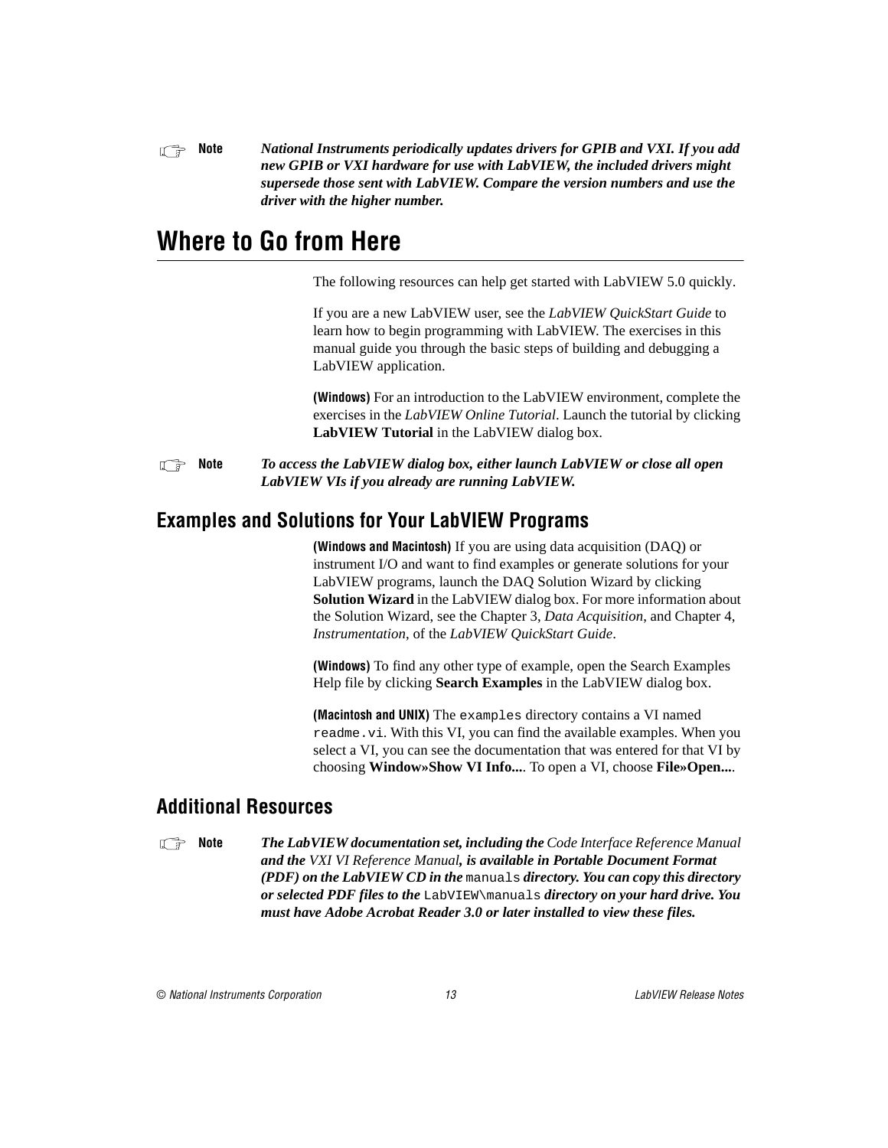<span id="page-12-0"></span>**Note** *National Instruments periodically updates drivers for GPIB and VXI. If you add N new GPIB or VXI hardware for use with LabVIEW, the included drivers might supersede those sent with LabVIEW. Compare the version numbers and use the driver with the higher number.*

# **Where to Go from Here**

The following resources can help get started with LabVIEW 5.0 quickly.

If you are a new LabVIEW user, see the *LabVIEW QuickStart Guide* to learn how to begin programming with LabVIEW. The exercises in this manual guide you through the basic steps of building and debugging a LabVIEW application.

**(Windows)** For an introduction to the LabVIEW environment, complete the exercises in the *LabVIEW Online Tutorial*. Launch the tutorial by clicking **LabVIEW Tutorial** in the LabVIEW dialog box.

**Note** *To access the LabVIEW dialog box, either launch LabVIEW or close all open LabVIEW VIs if you already are running LabVIEW.*

### **Examples and Solutions for Your LabVIEW Programs**

**(Windows and Macintosh)** If you are using data acquisition (DAQ) or instrument I/O and want to find examples or generate solutions for your LabVIEW programs, launch the DAQ Solution Wizard by clicking **Solution Wizard** in the LabVIEW dialog box. For more information about the Solution Wizard, see the Chapter 3, *Data Acquisition*, and Chapter 4, *Instrumentation*, of the *LabVIEW QuickStart Guide*.

**(Windows)** To find any other type of example, open the Search Examples Help file by clicking **Search Examples** in the LabVIEW dialog box.

**(Macintosh and UNIX)** The examples directory contains a VI named readme.vi. With this VI, you can find the available examples. When you select a VI, you can see the documentation that was entered for that VI by choosing **Window»Show VI Info...**. To open a VI, choose **File»Open...**.

### **Additional Resources**

**Note** *The LabVIEW documentation set, including the Code Interface Reference Manual and the VXI VI Reference Manual, is available in Portable Document Format (PDF) on the LabVIEW CD in the* manuals *directory. You can copy this directory or selected PDF files to the* LabVIEW\manuals *directory on your hard drive. You must have Adobe Acrobat Reader 3.0 or later installed to view these files.*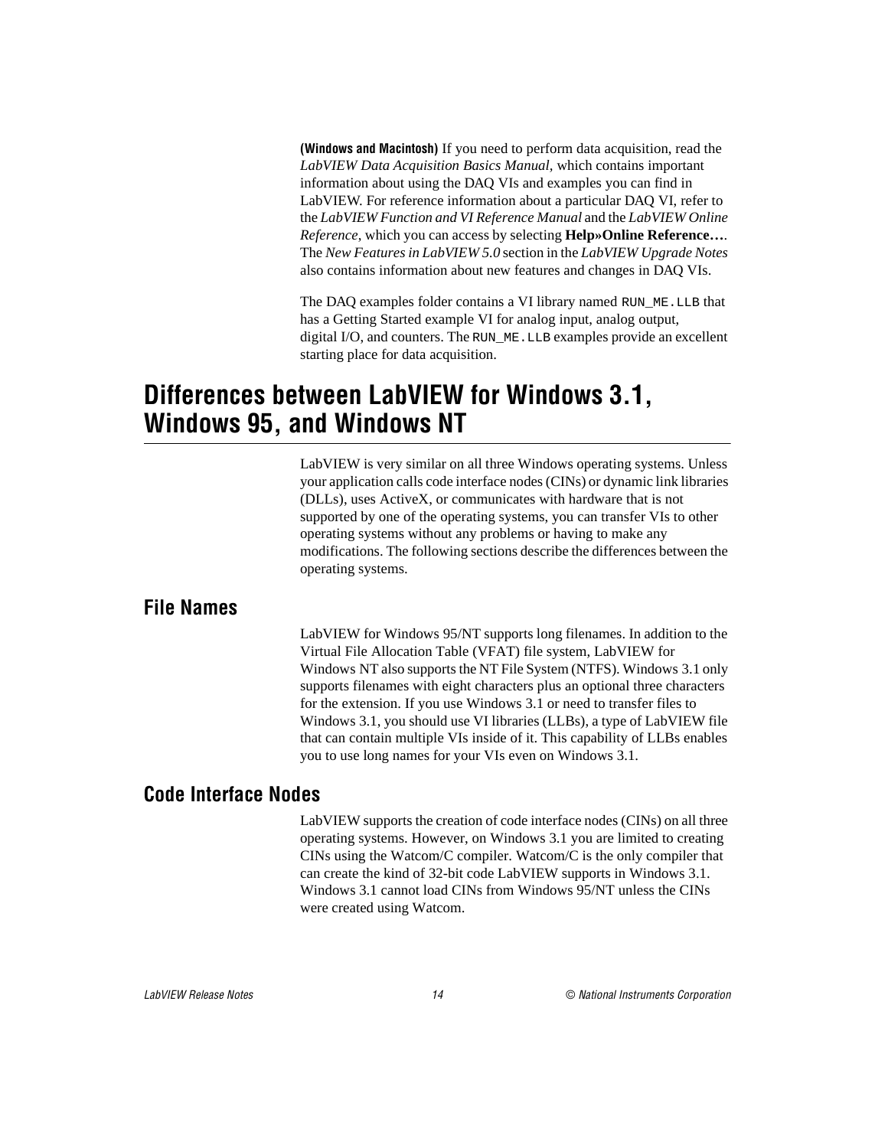<span id="page-13-0"></span>**(Windows and Macintosh)** If you need to perform data acquisition, read the *LabVIEW Data Acquisition Basics Manual,* which contains important information about using the DAQ VIs and examples you can find in LabVIEW. For reference information about a particular DAQ VI, refer to the *LabVIEW Function and VI Reference Manual* and the *LabVIEW Online Reference*, which you can access by selecting **Help»Online Reference…**. The *New Features in LabVIEW 5.0* section in the *LabVIEW Upgrade Notes* also contains information about new features and changes in DAQ VIs.

The DAQ examples folder contains a VI library named RUN\_ME.LLB that has a Getting Started example VI for analog input, analog output, digital I/O, and counters. The RUN\_ME.LLB examples provide an excellent starting place for data acquisition.

# **Differences between LabVIEW for Windows 3.1, Windows 95, and Windows NT**

LabVIEW is very similar on all three Windows operating systems. Unless your application calls code interface nodes (CINs) or dynamic link libraries (DLLs), uses ActiveX, or communicates with hardware that is not supported by one of the operating systems, you can transfer VIs to other operating systems without any problems or having to make any modifications. The following sections describe the differences between the operating systems.

#### **File Names**

LabVIEW for Windows 95/NT supports long filenames. In addition to the Virtual File Allocation Table (VFAT) file system, LabVIEW for Windows NT also supports the NT File System (NTFS). Windows 3.1 only supports filenames with eight characters plus an optional three characters for the extension. If you use Windows 3.1 or need to transfer files to Windows 3.1, you should use VI libraries (LLBs), a type of LabVIEW file that can contain multiple VIs inside of it. This capability of LLBs enables you to use long names for your VIs even on Windows 3.1.

#### **Code Interface Nodes**

LabVIEW supports the creation of code interface nodes (CINs) on all three operating systems. However, on Windows 3.1 you are limited to creating CINs using the Watcom/C compiler. Watcom/C is the only compiler that can create the kind of 32-bit code LabVIEW supports in Windows 3.1. Windows 3.1 cannot load CINs from Windows 95/NT unless the CINs were created using Watcom.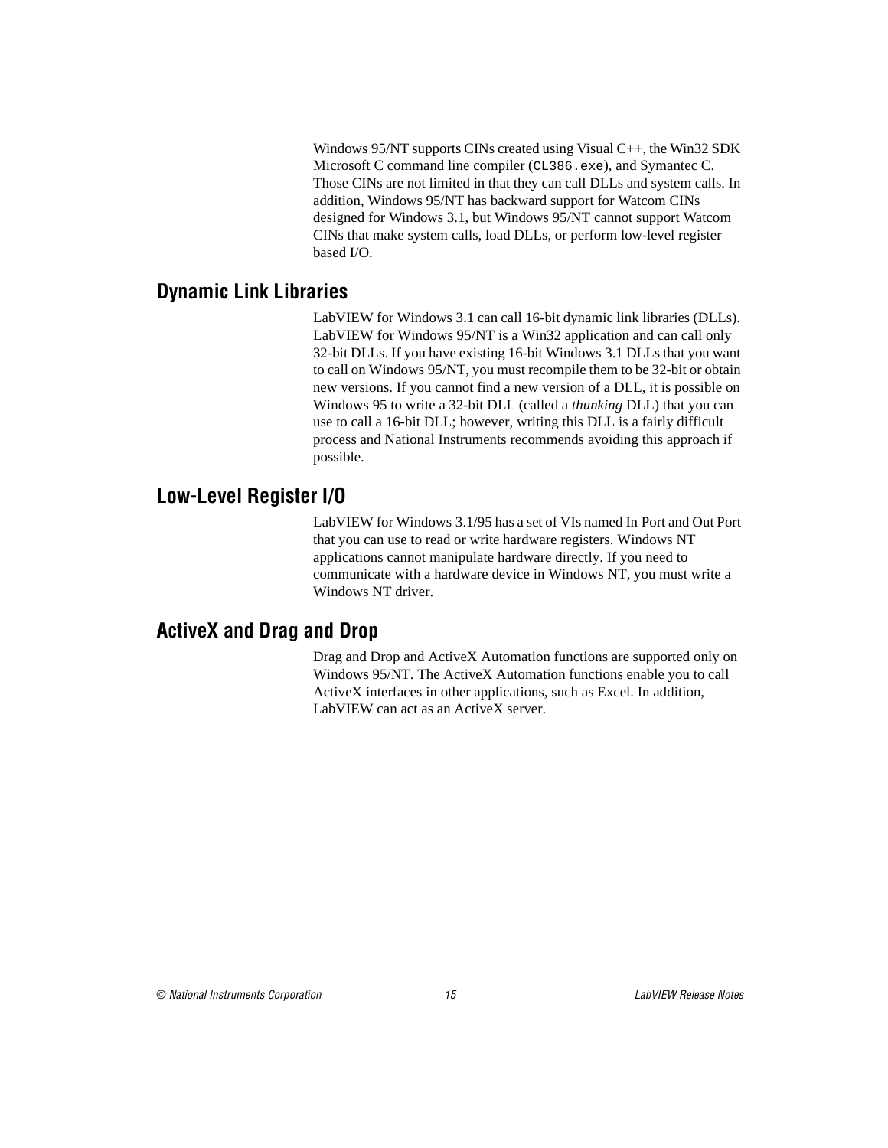Windows 95/NT supports CINs created using Visual C++, the Win32 SDK Microsoft C command line compiler (CL386.exe), and Symantec C. Those CINs are not limited in that they can call DLLs and system calls. In addition, Windows 95/NT has backward support for Watcom CINs designed for Windows 3.1, but Windows 95/NT cannot support Watcom CINs that make system calls, load DLLs, or perform low-level register based I/O.

#### <span id="page-14-0"></span>**Dynamic Link Libraries**

LabVIEW for Windows 3.1 can call 16-bit dynamic link libraries (DLLs). LabVIEW for Windows 95/NT is a Win32 application and can call only 32-bit DLLs. If you have existing 16-bit Windows 3.1 DLLs that you want to call on Windows 95/NT, you must recompile them to be 32-bit or obtain new versions. If you cannot find a new version of a DLL, it is possible on Windows 95 to write a 32-bit DLL (called a *thunking* DLL) that you can use to call a 16-bit DLL; however, writing this DLL is a fairly difficult process and National Instruments recommends avoiding this approach if possible.

### **Low-Level Register I/O**

LabVIEW for Windows 3.1/95 has a set of VIs named In Port and Out Port that you can use to read or write hardware registers. Windows NT applications cannot manipulate hardware directly. If you need to communicate with a hardware device in Windows NT, you must write a Windows NT driver.

### **ActiveX and Drag and Drop**

Drag and Drop and ActiveX Automation functions are supported only on Windows 95/NT. The ActiveX Automation functions enable you to call ActiveX interfaces in other applications, such as Excel. In addition, LabVIEW can act as an ActiveX server.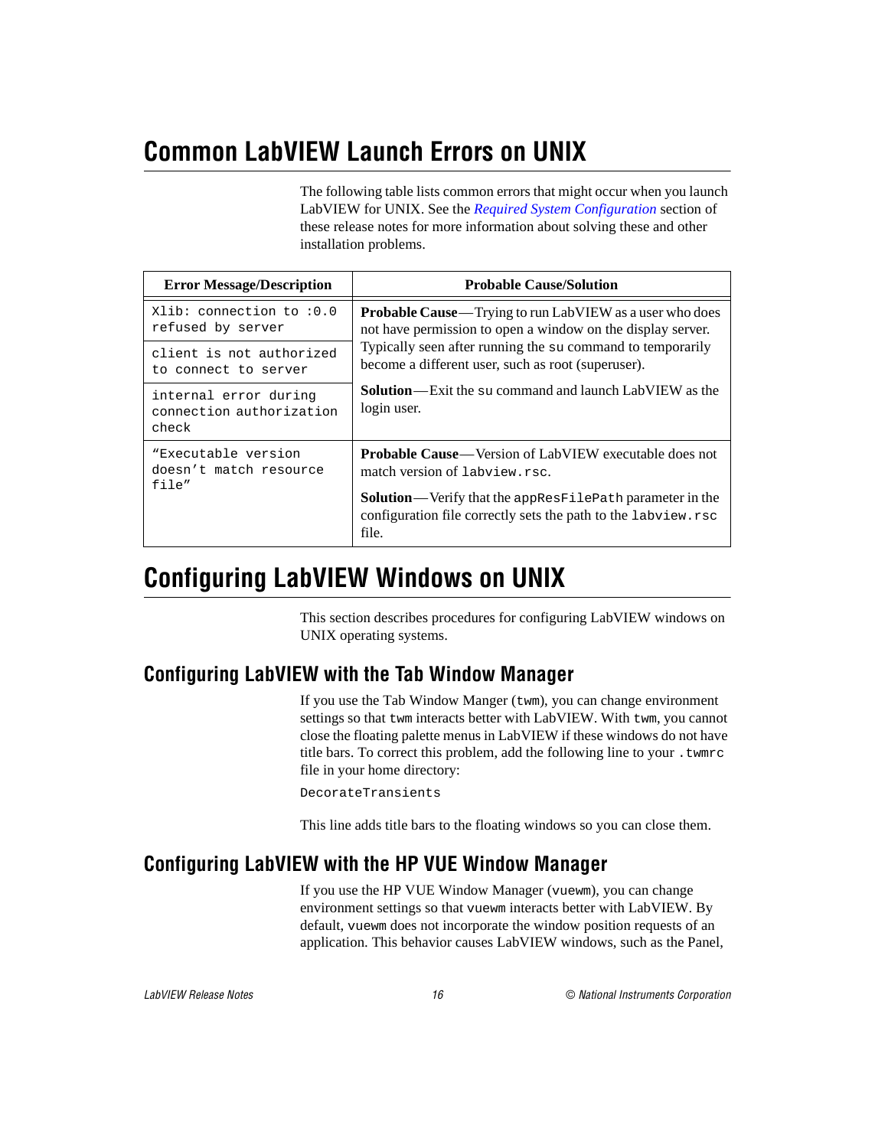# <span id="page-15-0"></span>**Common LabVIEW Launch Errors on UNIX**

The following table lists common errors that might occur when you launch LabVIEW for UNIX. See the *[Required System Configuration](#page-2-1)* section of these release notes for more information about solving these and other installation problems.

| <b>Error Message/Description</b>                                     | <b>Probable Cause/Solution</b>                                                                                                                                                                                                                     |  |
|----------------------------------------------------------------------|----------------------------------------------------------------------------------------------------------------------------------------------------------------------------------------------------------------------------------------------------|--|
| Xlib: connection to :0.0<br>refused by server                        | <b>Probable Cause</b> —Trying to run LabVIEW as a user who does<br>not have permission to open a window on the display server.<br>Typically seen after running the su command to temporarily<br>become a different user, such as root (superuser). |  |
| client is not authorized<br>to connect to server                     |                                                                                                                                                                                                                                                    |  |
| internal error during<br>connection authorization<br>check           | <b>Solution</b> —Exit the su command and launch LabVIEW as the<br>login user.                                                                                                                                                                      |  |
| "Executable version<br>doesn't match resource<br>$f \in \mathcal{A}$ | <b>Probable Cause</b> —Version of LabVIEW executable does not<br>match version of labyiew.rsc.<br>Solution—Verify that the appResFilePath parameter in the<br>configuration file correctly sets the path to the labview.rsc<br>file.               |  |

# **Configuring LabVIEW Windows on UNIX**

This section describes procedures for configuring LabVIEW windows on UNIX operating systems.

## **Configuring LabVIEW with the Tab Window Manager**

If you use the Tab Window Manger (twm), you can change environment settings so that twm interacts better with LabVIEW. With twm, you cannot close the floating palette menus in LabVIEW if these windows do not have title bars. To correct this problem, add the following line to your .twmrc file in your home directory:

DecorateTransients

This line adds title bars to the floating windows so you can close them.

### **Configuring LabVIEW with the HP VUE Window Manager**

If you use the HP VUE Window Manager (vuewm), you can change environment settings so that vuewm interacts better with LabVIEW. By default, vuewm does not incorporate the window position requests of an application. This behavior causes LabVIEW windows, such as the Panel,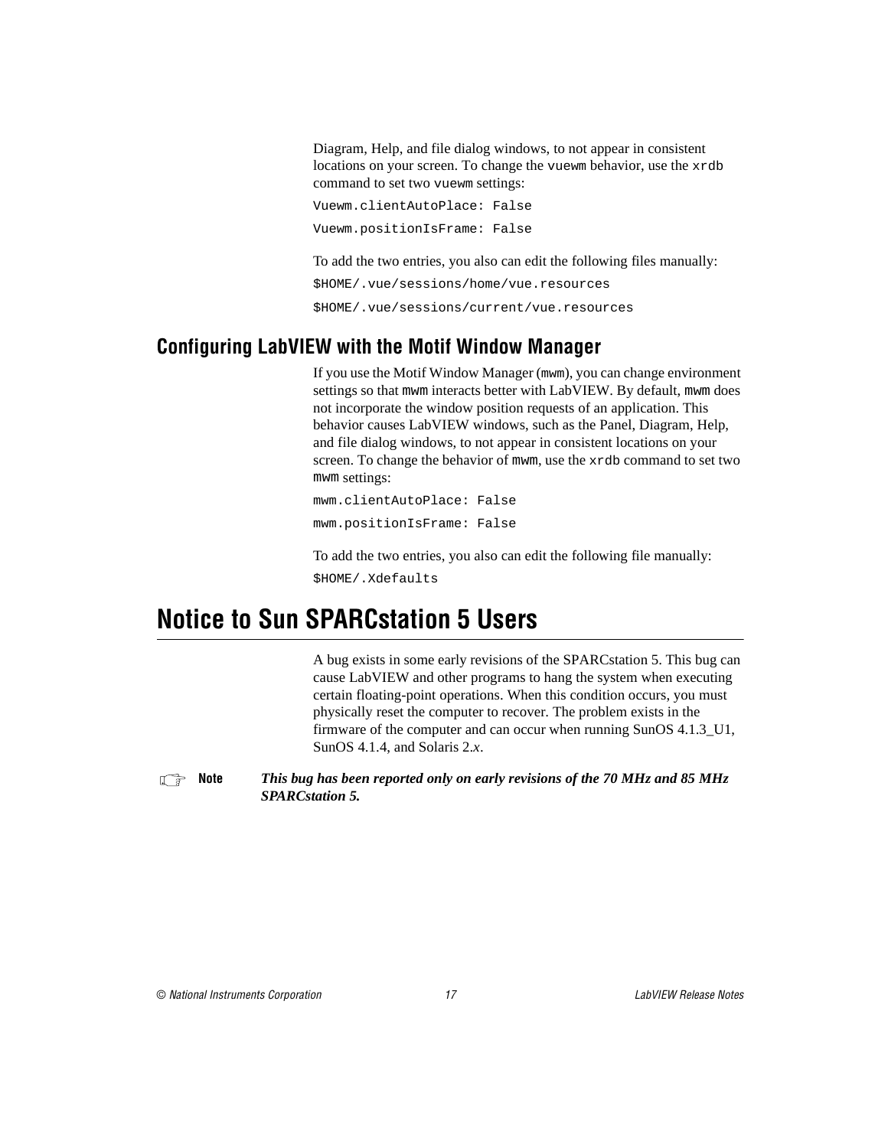Diagram, Help, and file dialog windows, to not appear in consistent locations on your screen. To change the vuewm behavior, use the xrdb command to set two vuewm settings:

```
Vuewm.clientAutoPlace: False
Vuewm.positionIsFrame: False
```
To add the two entries, you also can edit the following files manually:

\$HOME/.vue/sessions/home/vue.resources

\$HOME/.vue/sessions/current/vue.resources

### <span id="page-16-0"></span>**Configuring LabVIEW with the Motif Window Manager**

If you use the Motif Window Manager (mwm), you can change environment settings so that mwm interacts better with LabVIEW. By default, mwm does not incorporate the window position requests of an application. This behavior causes LabVIEW windows, such as the Panel, Diagram, Help, and file dialog windows, to not appear in consistent locations on your screen. To change the behavior of mwm, use the xrdb command to set two mwm settings:

mwm.clientAutoPlace: False mwm.positionIsFrame: False

To add the two entries, you also can edit the following file manually: \$HOME/.Xdefaults

# **Notice to Sun SPARCstation 5 Users**

A bug exists in some early revisions of the SPARCstation 5. This bug can cause LabVIEW and other programs to hang the system when executing certain floating-point operations. When this condition occurs, you must physically reset the computer to recover. The problem exists in the firmware of the computer and can occur when running SunOS 4.1.3\_U1, SunOS 4.1.4, and Solaris 2.*x*.

```
Note This bug has been reported only on early revisions of the 70 MHz and 85 MHz
              SPARCstation 5.
```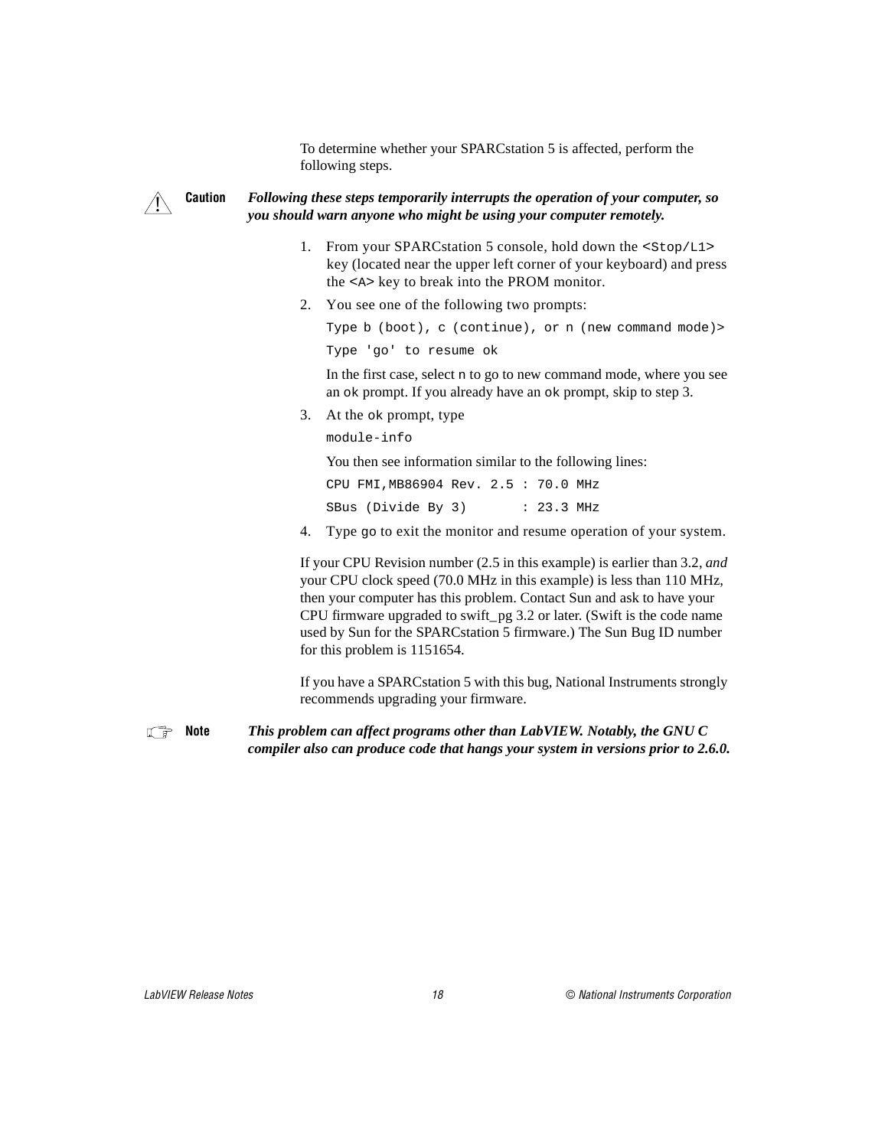To determine whether your SPARCstation 5 is affected, perform the following steps.

# $\overline{\mathbf{1}}$

#### **Caution** *Following these steps temporarily interrupts the operation of your computer, so you should warn anyone who might be using your computer remotely.*

- 1. From your SPARCstation 5 console, hold down the <Stop/L1> key (located near the upper left corner of your keyboard) and press the <A> key to break into the PROM monitor.
- 2. You see one of the following two prompts:

```
Type b (boot), c (continue), or n (new command mode)>
```

```
Type 'go' to resume ok
```
In the first case, select n to go to new command mode, where you see an ok prompt. If you already have an ok prompt, skip to step 3.

3. At the ok prompt, type

module-info

You then see information similar to the following lines:

CPU FMI,MB86904 Rev. 2.5 : 70.0 MHz

SBus (Divide By 3) : 23.3 MHz

4. Type go to exit the monitor and resume operation of your system.

If your CPU Revision number (2.5 in this example) is earlier than 3.2, *and* your CPU clock speed (70.0 MHz in this example) is less than 110 MHz, then your computer has this problem. Contact Sun and ask to have your CPU firmware upgraded to swift\_pg 3.2 or later. (Swift is the code name used by Sun for the SPARCstation 5 firmware.) The Sun Bug ID number for this problem is 1151654.

If you have a SPARCstation 5 with this bug, National Instruments strongly recommends upgrading your firmware.

**Note** *This problem can affect programs other than LabVIEW. Notably, the GNU C compiler also can produce code that hangs your system in versions prior to 2.6.0.*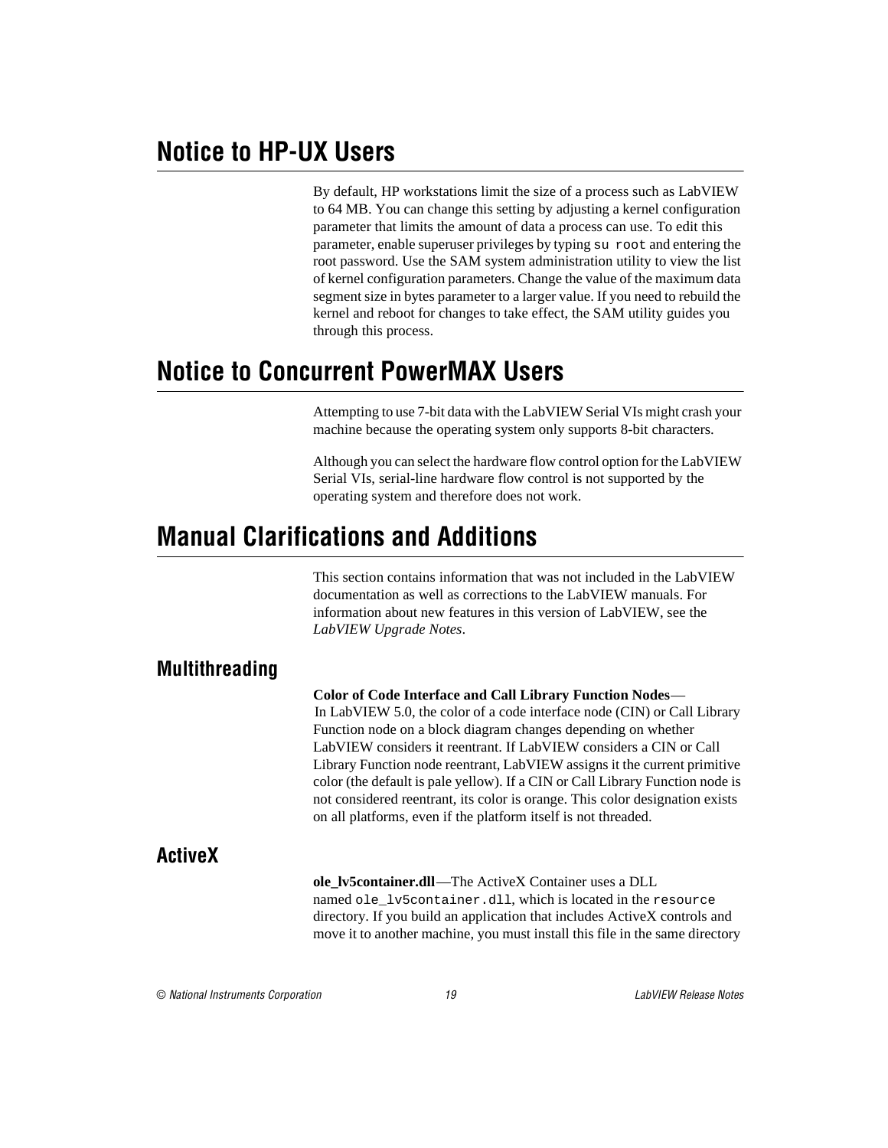# <span id="page-18-0"></span>**Notice to HP-UX Users**

By default, HP workstations limit the size of a process such as LabVIEW to 64 MB. You can change this setting by adjusting a kernel configuration parameter that limits the amount of data a process can use. To edit this parameter, enable superuser privileges by typing su root and entering the root password. Use the SAM system administration utility to view the list of kernel configuration parameters. Change the value of the maximum data segment size in bytes parameter to a larger value. If you need to rebuild the kernel and reboot for changes to take effect, the SAM utility guides you through this process.

# **Notice to Concurrent PowerMAX Users**

Attempting to use 7-bit data with the LabVIEW Serial VIs might crash your machine because the operating system only supports 8-bit characters.

Although you can select the hardware flow control option for the LabVIEW Serial VIs, serial-line hardware flow control is not supported by the operating system and therefore does not work.

# **Manual Clarifications and Additions**

This section contains information that was not included in the LabVIEW documentation as well as corrections to the LabVIEW manuals. For information about new features in this version of LabVIEW, see the *LabVIEW Upgrade Notes*.

# **Multithreading**

**Color of Code Interface and Call Library Function Nodes**— In LabVIEW 5.0, the color of a code interface node (CIN) or Call Library Function node on a block diagram changes depending on whether LabVIEW considers it reentrant. If LabVIEW considers a CIN or Call Library Function node reentrant, LabVIEW assigns it the current primitive color (the default is pale yellow). If a CIN or Call Library Function node is not considered reentrant, its color is orange. This color designation exists on all platforms, even if the platform itself is not threaded.

## **ActiveX**

**ole\_lv5container.dll**—The ActiveX Container uses a DLL named ole\_lv5container.dll, which is located in the resource directory. If you build an application that includes ActiveX controls and move it to another machine, you must install this file in the same directory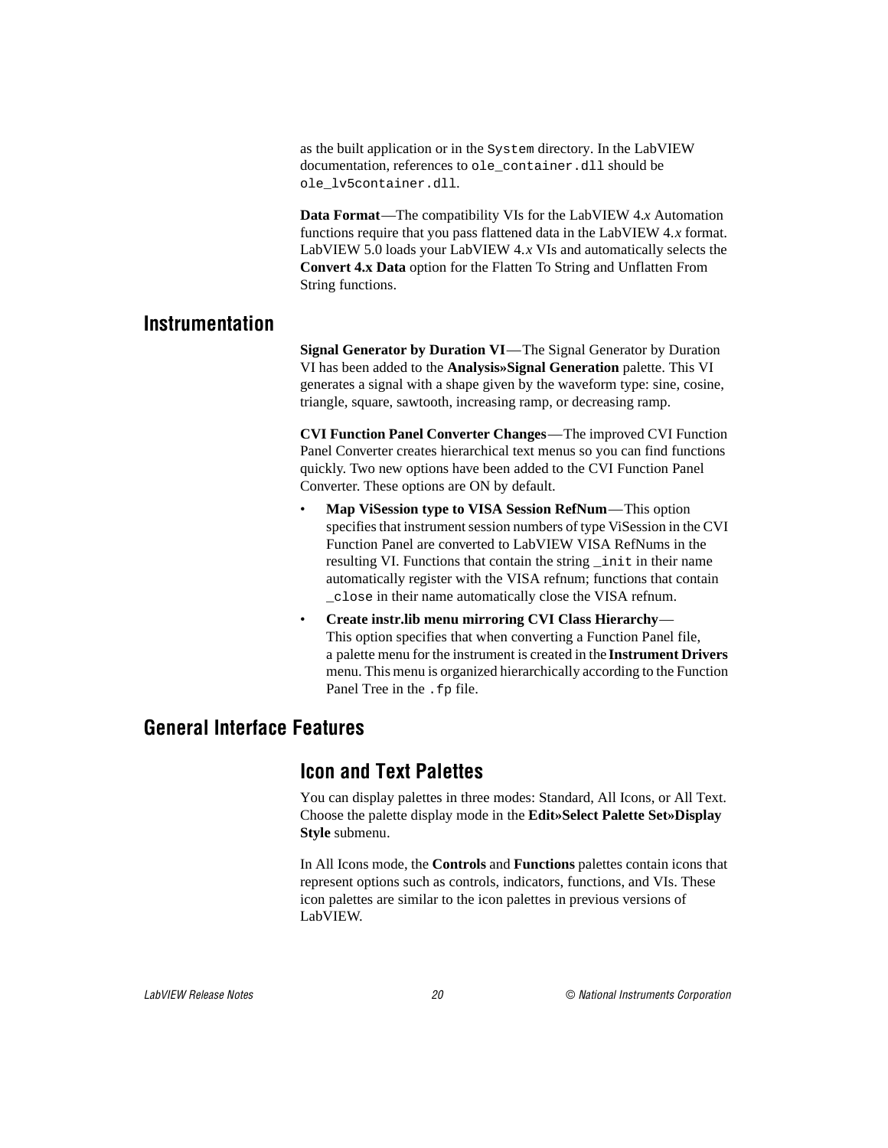as the built application or in the System directory. In the LabVIEW documentation, references to ole\_container.dll should be ole\_lv5container.dll.

**Data Format**—The compatibility VIs for the LabVIEW 4.*x* Automation functions require that you pass flattened data in the LabVIEW 4.*x* format. LabVIEW 5.0 loads your LabVIEW 4.*x* VIs and automatically selects the **Convert 4.x Data** option for the Flatten To String and Unflatten From String functions.

#### <span id="page-19-0"></span>**Instrumentation**

**Signal Generator by Duration VI**—The Signal Generator by Duration VI has been added to the **Analysis»Signal Generation** palette. This VI generates a signal with a shape given by the waveform type: sine, cosine, triangle, square, sawtooth, increasing ramp, or decreasing ramp.

**CVI Function Panel Converter Changes**—The improved CVI Function Panel Converter creates hierarchical text menus so you can find functions quickly. Two new options have been added to the CVI Function Panel Converter. These options are ON by default.

- **Map ViSession type to VISA Session RefNum**—This option specifies that instrument session numbers of type ViSession in the CVI Function Panel are converted to LabVIEW VISA RefNums in the resulting VI. Functions that contain the string \_init in their name automatically register with the VISA refnum; functions that contain \_close in their name automatically close the VISA refnum.
- **Create instr.lib menu mirroring CVI Class Hierarchy** This option specifies that when converting a Function Panel file, a palette menu for the instrument is created in the **Instrument Drivers** menu. This menu is organized hierarchically according to the Function Panel Tree in the . fp file.

#### **General Interface Features**

### **Icon and Text Palettes**

You can display palettes in three modes: Standard, All Icons, or All Text. Choose the palette display mode in the **Edit»Select Palette Set»Display Style** submenu.

In All Icons mode, the **Controls** and **Functions** palettes contain icons that represent options such as controls, indicators, functions, and VIs. These icon palettes are similar to the icon palettes in previous versions of LabVIEW.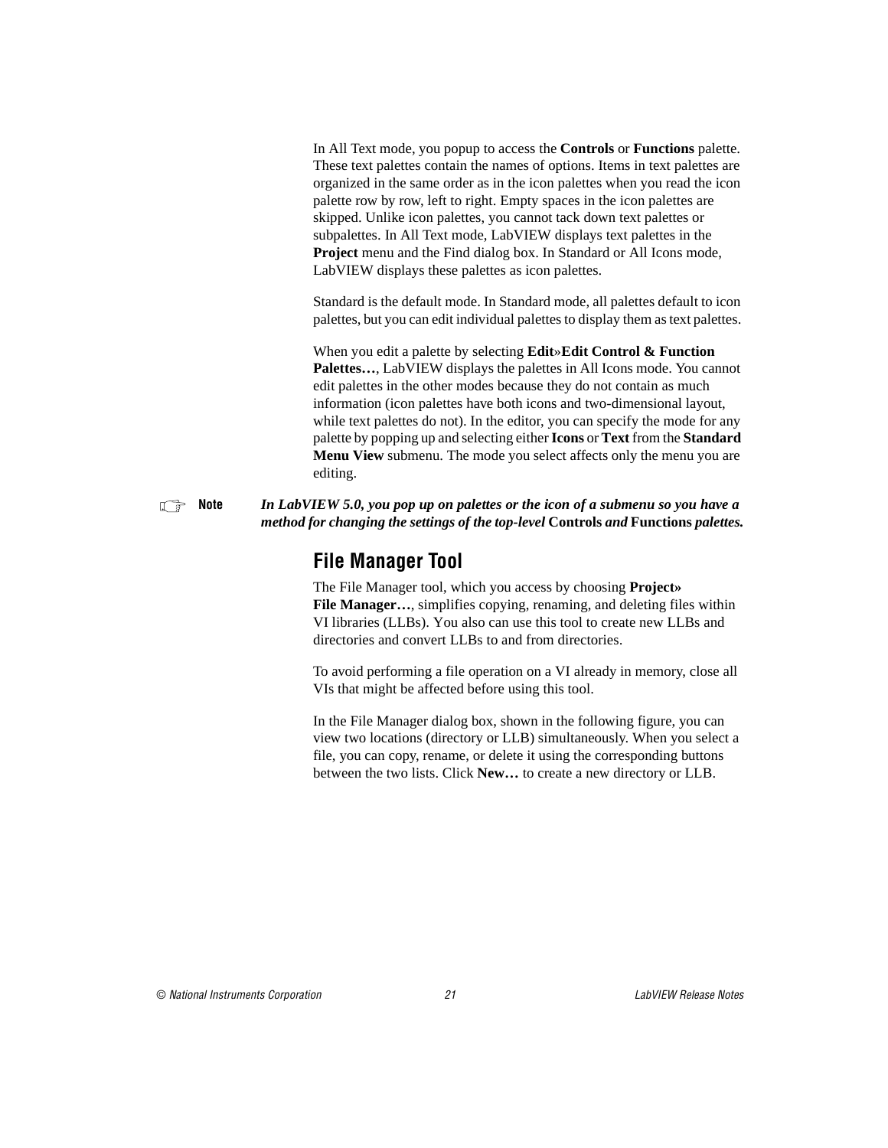In All Text mode, you popup to access the **Controls** or **Functions** palette. These text palettes contain the names of options. Items in text palettes are organized in the same order as in the icon palettes when you read the icon palette row by row, left to right. Empty spaces in the icon palettes are skipped. Unlike icon palettes, you cannot tack down text palettes or subpalettes. In All Text mode, LabVIEW displays text palettes in the **Project** menu and the Find dialog box. In Standard or All Icons mode, LabVIEW displays these palettes as icon palettes.

Standard is the default mode. In Standard mode, all palettes default to icon palettes, but you can edit individual palettes to display them as text palettes.

When you edit a palette by selecting **Edit**»**Edit Control & Function Palettes…**, LabVIEW displays the palettes in All Icons mode. You cannot edit palettes in the other modes because they do not contain as much information (icon palettes have both icons and two-dimensional layout, while text palettes do not). In the editor, you can specify the mode for any palette by popping up and selecting either **Icons** or **Text** from the **Standard Menu View** submenu. The mode you select affects only the menu you are editing.

**Note** *In LabVIEW 5.0, you pop up on palettes or the icon of a submenu so you have a method for changing the settings of the top-level* **Controls** *and* **Functions** *palettes.*

### **File Manager Tool**

The File Manager tool, which you access by choosing **Project»** File Manager..., simplifies copying, renaming, and deleting files within VI libraries (LLBs). You also can use this tool to create new LLBs and directories and convert LLBs to and from directories.

To avoid performing a file operation on a VI already in memory, close all VIs that might be affected before using this tool.

In the File Manager dialog box, shown in the following figure, you can view two locations (directory or LLB) simultaneously. When you select a file, you can copy, rename, or delete it using the corresponding buttons between the two lists. Click **New…** to create a new directory or LLB.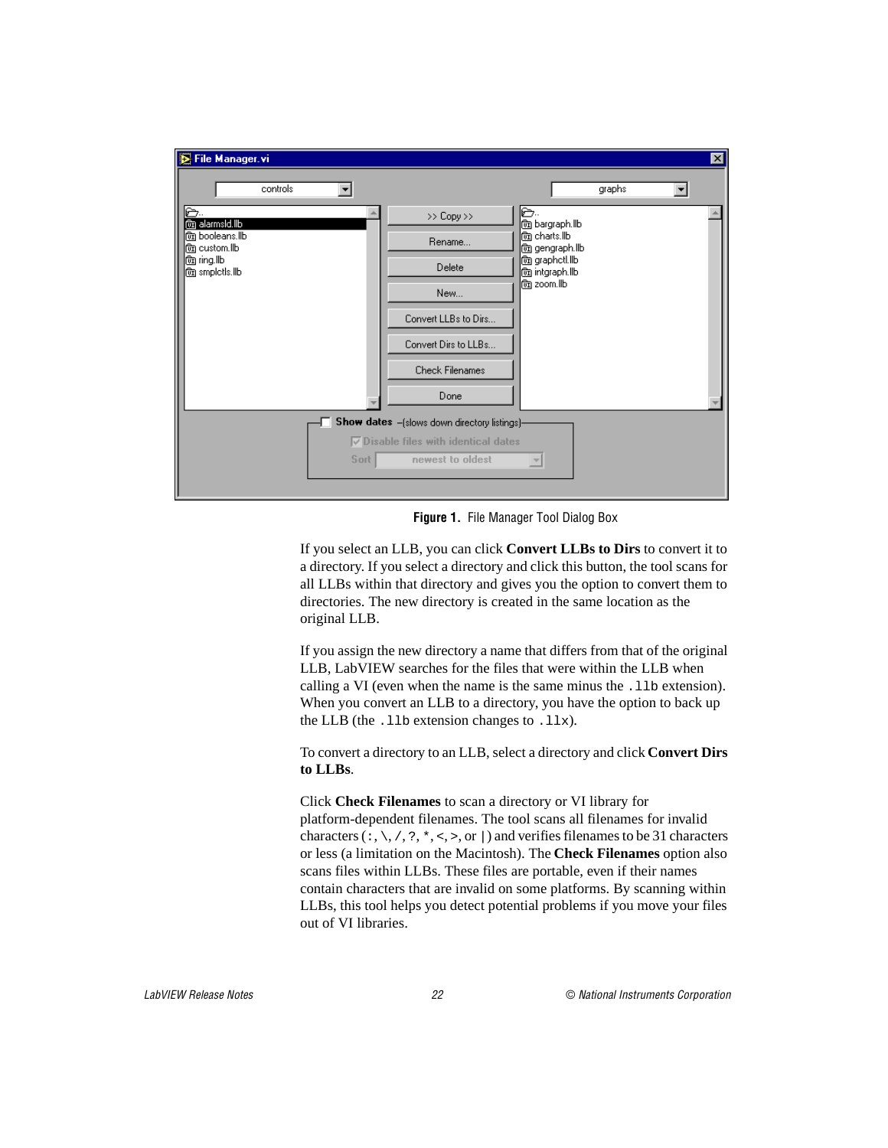

**Figure 1.** File Manager Tool Dialog Box

If you select an LLB, you can click **Convert LLBs to Dirs** to convert it to a directory. If you select a directory and click this button, the tool scans for all LLBs within that directory and gives you the option to convert them to directories. The new directory is created in the same location as the original LLB.

If you assign the new directory a name that differs from that of the original LLB, LabVIEW searches for the files that were within the LLB when calling a VI (even when the name is the same minus the .11b extension). When you convert an LLB to a directory, you have the option to back up the LLB (the  $.11b$  extension changes to  $.11x$ ).

To convert a directory to an LLB, select a directory and click **Convert Dirs to LLBs**.

Click **Check Filenames** to scan a directory or VI library for platform-dependent filenames. The tool scans all filenames for invalid characters  $(\cdot, \setminus, \cdot, \cdot, \cdot, \cdot, \cdot)$  and verifies filenames to be 31 characters or less (a limitation on the Macintosh). The **Check Filenames** option also scans files within LLBs. These files are portable, even if their names contain characters that are invalid on some platforms. By scanning within LLBs, this tool helps you detect potential problems if you move your files out of VI libraries.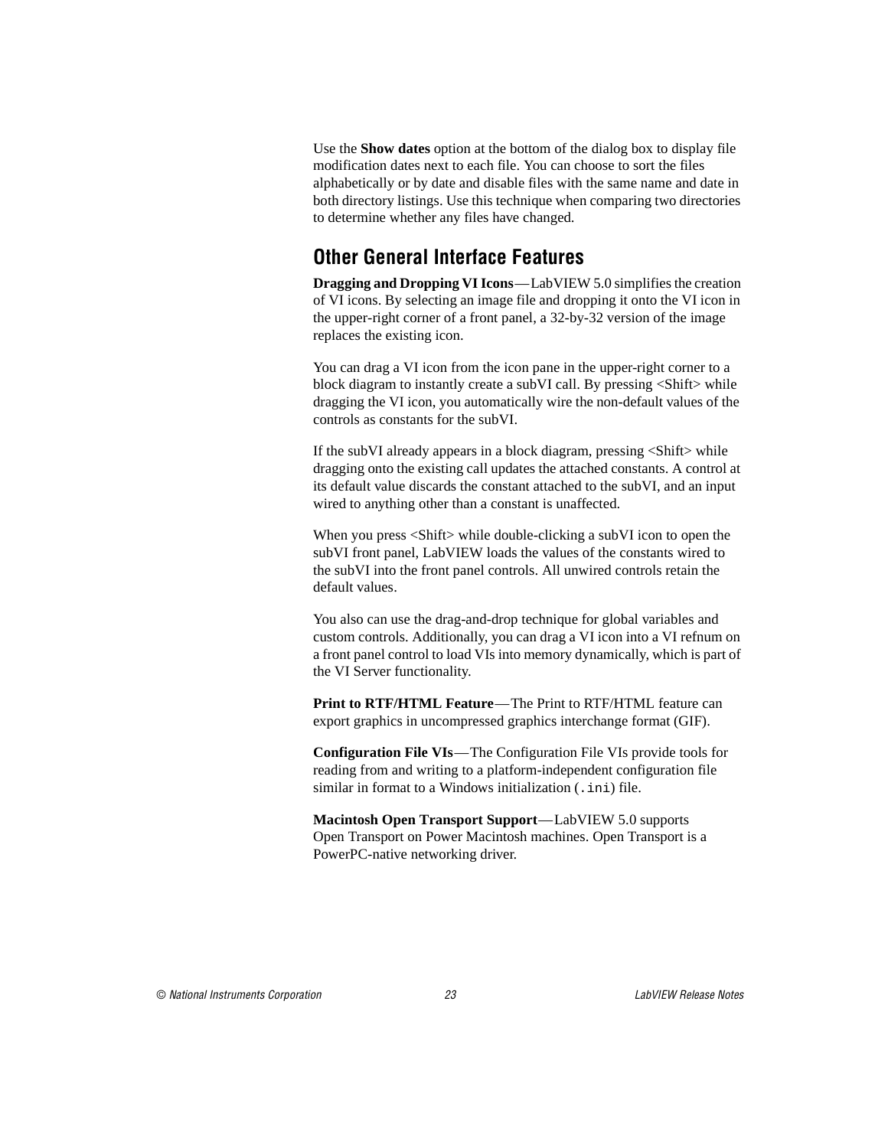Use the **Show dates** option at the bottom of the dialog box to display file modification dates next to each file. You can choose to sort the files alphabetically or by date and disable files with the same name and date in both directory listings. Use this technique when comparing two directories to determine whether any files have changed.

### **Other General Interface Features**

**Dragging and Dropping VI Icons**—LabVIEW 5.0 simplifies the creation of VI icons. By selecting an image file and dropping it onto the VI icon in the upper-right corner of a front panel, a 32-by-32 version of the image replaces the existing icon.

You can drag a VI icon from the icon pane in the upper-right corner to a block diagram to instantly create a subVI call. By pressing <Shift> while dragging the VI icon, you automatically wire the non-default values of the controls as constants for the subVI.

If the subVI already appears in a block diagram, pressing <Shift> while dragging onto the existing call updates the attached constants. A control at its default value discards the constant attached to the subVI, and an input wired to anything other than a constant is unaffected.

When you press <Shift> while double-clicking a subVI icon to open the subVI front panel, LabVIEW loads the values of the constants wired to the subVI into the front panel controls. All unwired controls retain the default values.

You also can use the drag-and-drop technique for global variables and custom controls. Additionally, you can drag a VI icon into a VI refnum on a front panel control to load VIs into memory dynamically, which is part of the VI Server functionality.

**Print to RTF/HTML Feature**—The Print to RTF/HTML feature can export graphics in uncompressed graphics interchange format (GIF).

**Configuration File VIs**—The Configuration File VIs provide tools for reading from and writing to a platform-independent configuration file similar in format to a Windows initialization (. ini) file.

**Macintosh Open Transport Support**—LabVIEW 5.0 supports Open Transport on Power Macintosh machines. Open Transport is a PowerPC-native networking driver.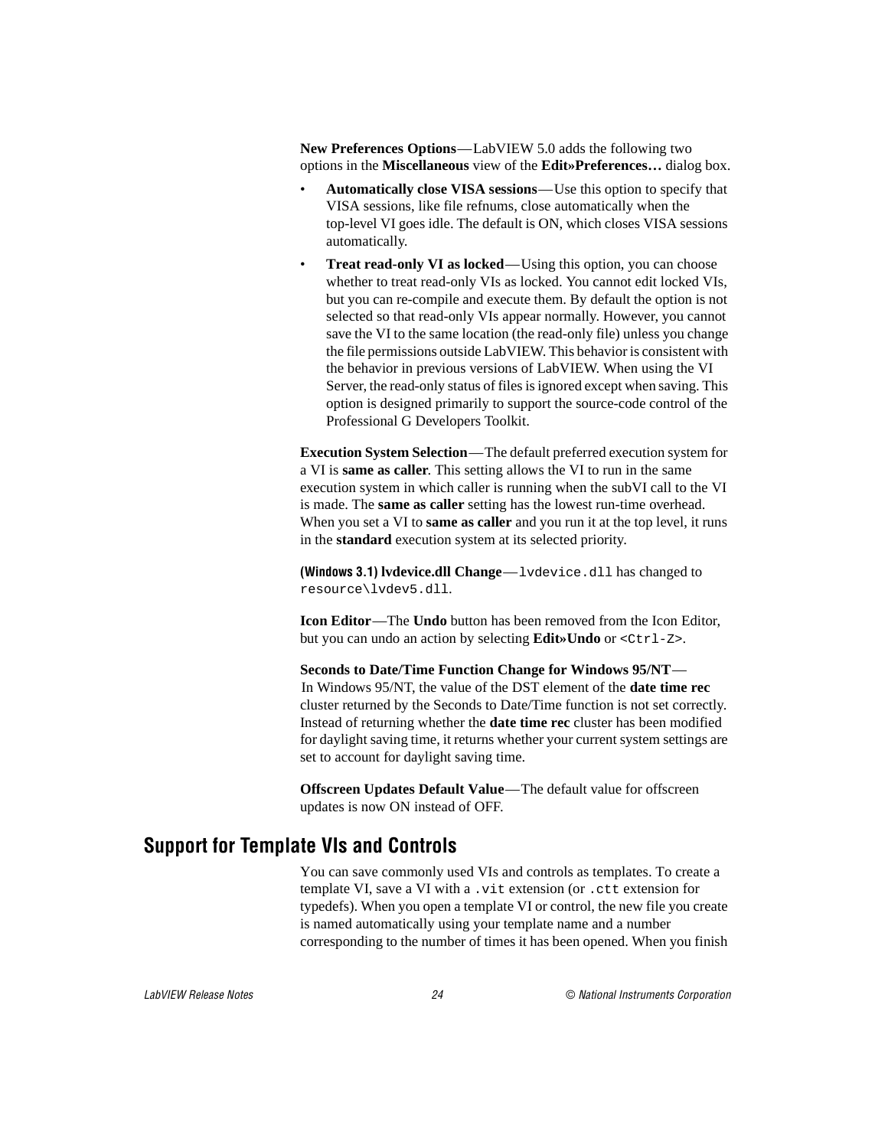<span id="page-23-0"></span>**New Preferences Options**—LabVIEW 5.0 adds the following two options in the **Miscellaneous** view of the **Edit»Preferences…** dialog box.

- **Automatically close VISA sessions**—Use this option to specify that VISA sessions, like file refnums, close automatically when the top-level VI goes idle. The default is ON, which closes VISA sessions automatically.
- **Treat read-only VI as locked**—Using this option, you can choose whether to treat read-only VIs as locked. You cannot edit locked VIs, but you can re-compile and execute them. By default the option is not selected so that read-only VIs appear normally. However, you cannot save the VI to the same location (the read-only file) unless you change the file permissions outside LabVIEW. This behavior is consistent with the behavior in previous versions of LabVIEW. When using the VI Server, the read-only status of files is ignored except when saving. This option is designed primarily to support the source-code control of the Professional G Developers Toolkit.

**Execution System Selection**—The default preferred execution system for a VI is **same as caller**. This setting allows the VI to run in the same execution system in which caller is running when the subVI call to the VI is made. The **same as caller** setting has the lowest run-time overhead. When you set a VI to **same as caller** and you run it at the top level, it runs in the **standard** execution system at its selected priority.

**(Windows 3.1) lvdevice.dll Change**—lvdevice.dll has changed to resource\lvdev5.dll.

**Icon Editor**—The **Undo** button has been removed from the Icon Editor, but you can undo an action by selecting **Edit»Undo** or <Ctrl-Z>.

**Seconds to Date/Time Function Change for Windows 95/NT**— In Windows 95/NT, the value of the DST element of the **date time rec** cluster returned by the Seconds to Date/Time function is not set correctly. Instead of returning whether the **date time rec** cluster has been modified for daylight saving time, it returns whether your current system settings are set to account for daylight saving time.

**Offscreen Updates Default Value**—The default value for offscreen updates is now ON instead of OFF.

### **Support for Template VIs and Controls**

You can save commonly used VIs and controls as templates. To create a template VI, save a VI with a .vit extension (or .ctt extension for typedefs). When you open a template VI or control, the new file you create is named automatically using your template name and a number corresponding to the number of times it has been opened. When you finish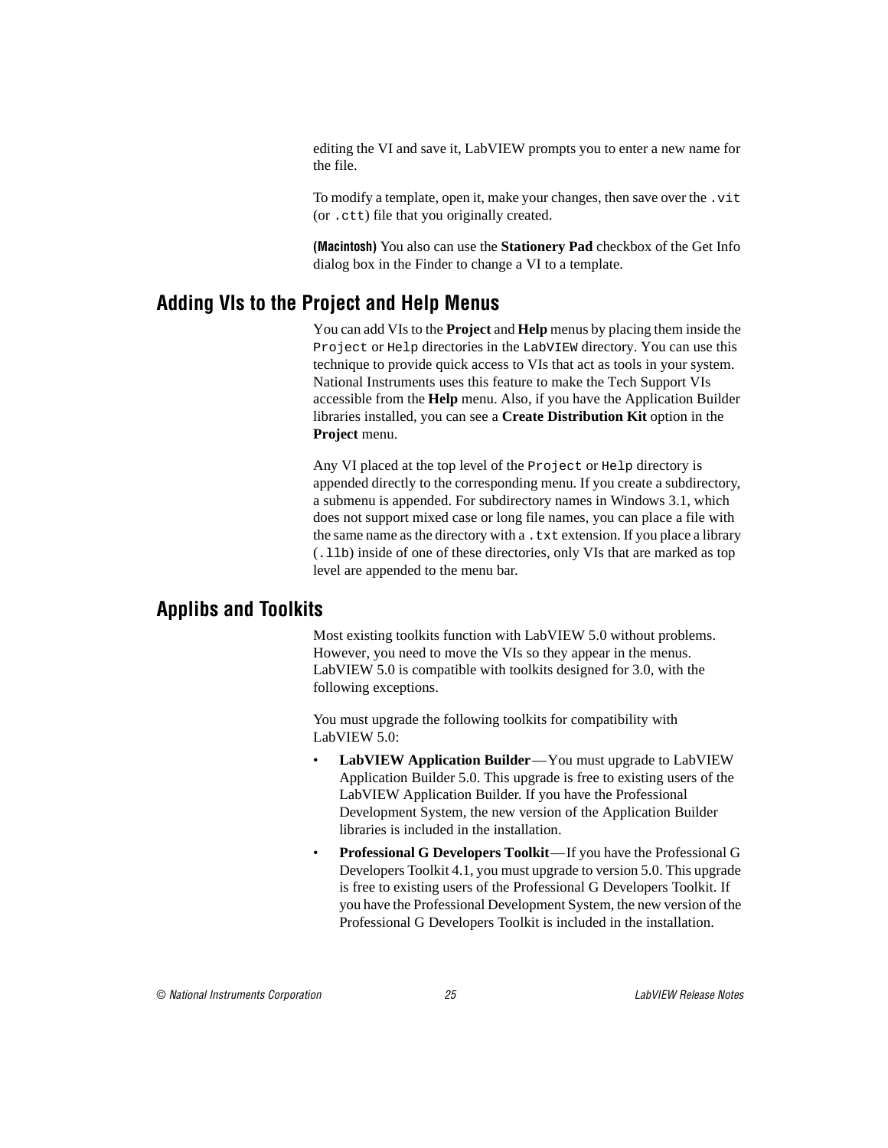editing the VI and save it, LabVIEW prompts you to enter a new name for the file.

To modify a template, open it, make your changes, then save over the .vit (or .ctt) file that you originally created.

**(Macintosh)** You also can use the **Stationery Pad** checkbox of the Get Info dialog box in the Finder to change a VI to a template.

## <span id="page-24-0"></span>**Adding VIs to the Project and Help Menus**

You can add VIs to the **Project** and **Help** menus by placing them inside the Project or Help directories in the LabVIEW directory. You can use this technique to provide quick access to VIs that act as tools in your system. National Instruments uses this feature to make the Tech Support VIs accessible from the **Help** menu. Also, if you have the Application Builder libraries installed, you can see a **Create Distribution Kit** option in the **Project** menu.

Any VI placed at the top level of the Project or Help directory is appended directly to the corresponding menu. If you create a subdirectory, a submenu is appended. For subdirectory names in Windows 3.1, which does not support mixed case or long file names, you can place a file with the same name as the directory with a .txt extension. If you place a library (.llb) inside of one of these directories, only VIs that are marked as top level are appended to the menu bar.

### **Applibs and Toolkits**

Most existing toolkits function with LabVIEW 5.0 without problems. However, you need to move the VIs so they appear in the menus. LabVIEW 5.0 is compatible with toolkits designed for 3.0, with the following exceptions.

You must upgrade the following toolkits for compatibility with LabVIEW 5.0:

- **LabVIEW Application Builder**—You must upgrade to LabVIEW Application Builder 5.0. This upgrade is free to existing users of the LabVIEW Application Builder. If you have the Professional Development System, the new version of the Application Builder libraries is included in the installation.
- **Professional G Developers Toolkit**—If you have the Professional G Developers Toolkit 4.1, you must upgrade to version 5.0. This upgrade is free to existing users of the Professional G Developers Toolkit. If you have the Professional Development System, the new version of the Professional G Developers Toolkit is included in the installation.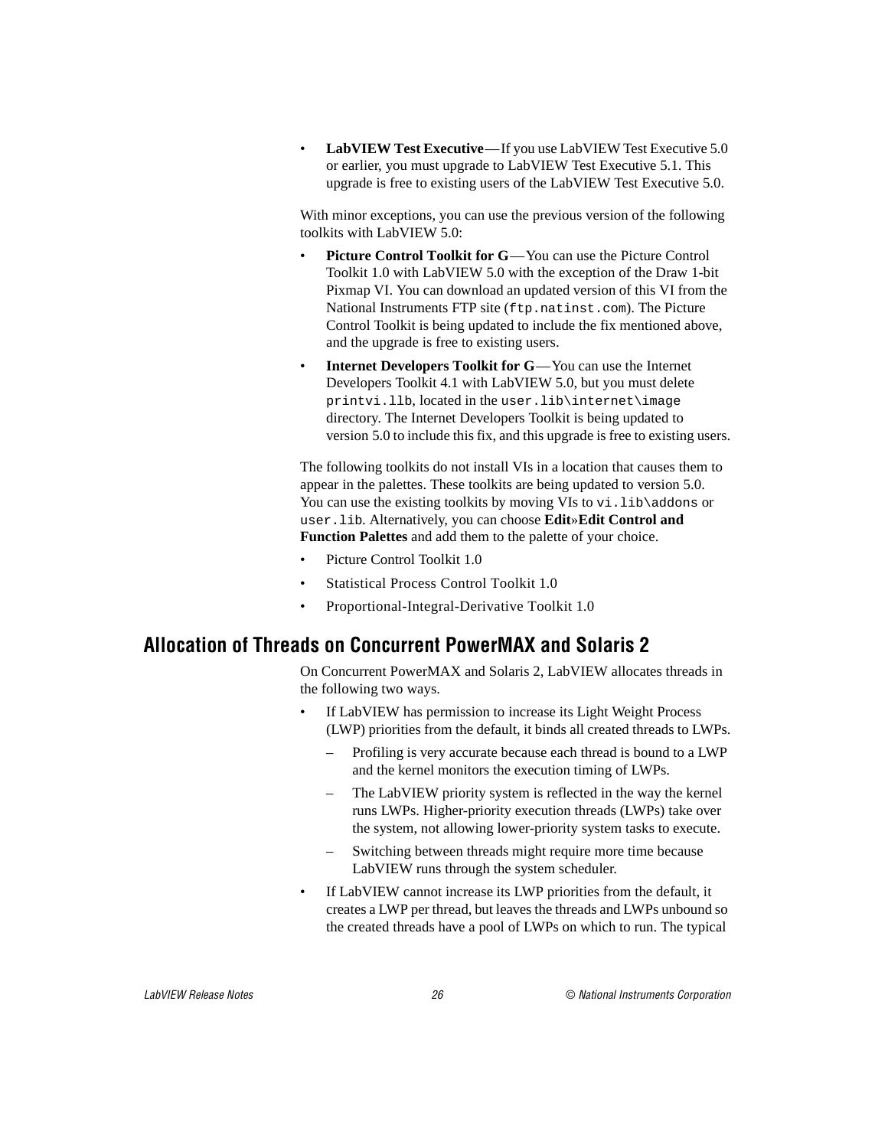<span id="page-25-0"></span>• **LabVIEW Test Executive**—If you use LabVIEW Test Executive 5.0 or earlier, you must upgrade to LabVIEW Test Executive 5.1. This upgrade is free to existing users of the LabVIEW Test Executive 5.0.

With minor exceptions, you can use the previous version of the following toolkits with LabVIEW 5.0:

- **Picture Control Toolkit for G—You can use the Picture Control** Toolkit 1.0 with LabVIEW 5.0 with the exception of the Draw 1-bit Pixmap VI. You can download an updated version of this VI from the National Instruments FTP site (ftp.natinst.com). The Picture Control Toolkit is being updated to include the fix mentioned above, and the upgrade is free to existing users.
- **Internet Developers Toolkit for G**—You can use the Internet Developers Toolkit 4.1 with LabVIEW 5.0, but you must delete printvi.llb, located in the user.lib\internet\image directory. The Internet Developers Toolkit is being updated to version 5.0 to include this fix, and this upgrade is free to existing users.

The following toolkits do not install VIs in a location that causes them to appear in the palettes. These toolkits are being updated to version 5.0. You can use the existing toolkits by moving VIs to vi. lib\addons or user.lib. Alternatively, you can choose **Edit**»**Edit Control and Function Palettes** and add them to the palette of your choice.

- Picture Control Toolkit 1.0
- Statistical Process Control Toolkit 1.0
- Proportional-Integral-Derivative Toolkit 1.0

### **Allocation of Threads on Concurrent PowerMAX and Solaris 2**

On Concurrent PowerMAX and Solaris 2, LabVIEW allocates threads in the following two ways.

- If LabVIEW has permission to increase its Light Weight Process (LWP) priorities from the default, it binds all created threads to LWPs.
	- Profiling is very accurate because each thread is bound to a LWP and the kernel monitors the execution timing of LWPs.
	- The LabVIEW priority system is reflected in the way the kernel runs LWPs. Higher-priority execution threads (LWPs) take over the system, not allowing lower-priority system tasks to execute.
	- Switching between threads might require more time because LabVIEW runs through the system scheduler.
- If LabVIEW cannot increase its LWP priorities from the default, it creates a LWP per thread, but leaves the threads and LWPs unbound so the created threads have a pool of LWPs on which to run. The typical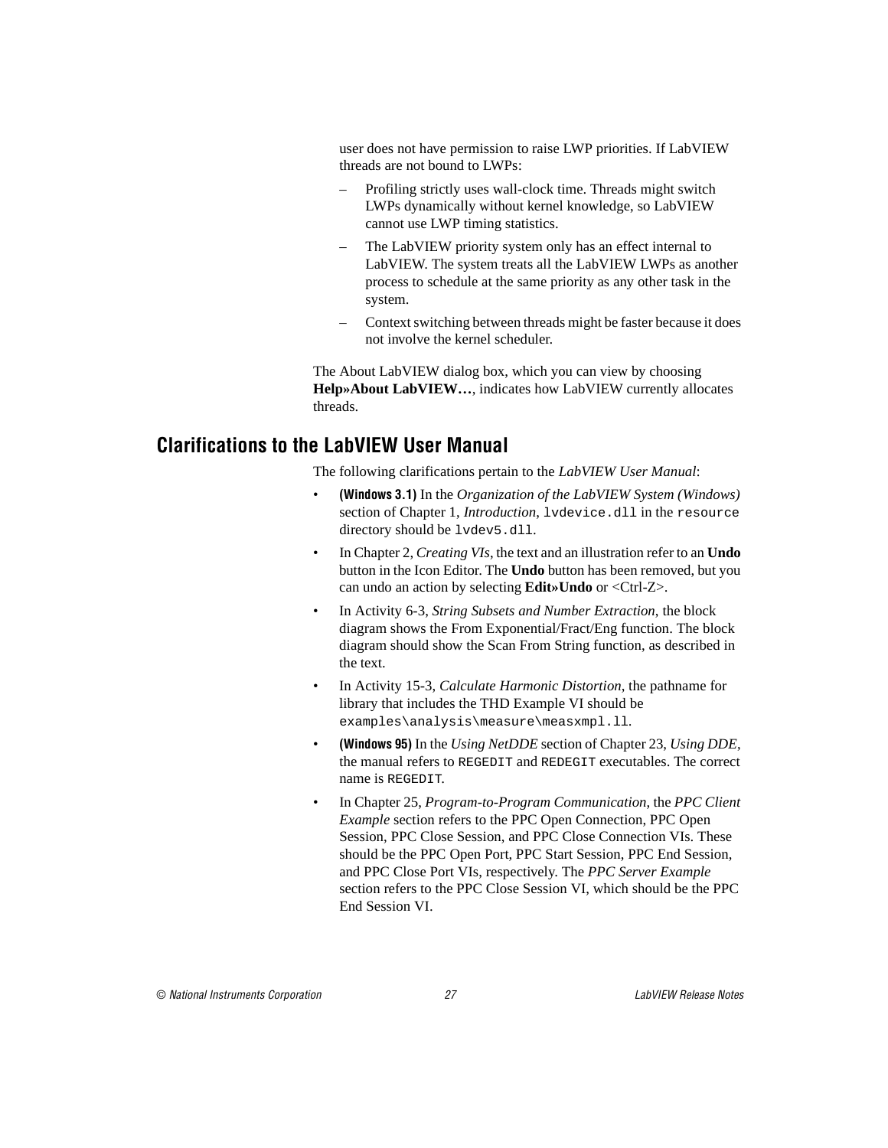<span id="page-26-0"></span>user does not have permission to raise LWP priorities. If LabVIEW threads are not bound to LWPs:

- Profiling strictly uses wall-clock time. Threads might switch LWPs dynamically without kernel knowledge, so LabVIEW cannot use LWP timing statistics.
- The LabVIEW priority system only has an effect internal to LabVIEW. The system treats all the LabVIEW LWPs as another process to schedule at the same priority as any other task in the system.
- Context switching between threads might be faster because it does not involve the kernel scheduler.

The About LabVIEW dialog box, which you can view by choosing **Help»About LabVIEW…**, indicates how LabVIEW currently allocates threads.

#### **Clarifications to the LabVIEW User Manual**

The following clarifications pertain to the *LabVIEW User Manual*:

- **(Windows 3.1)** In the *Organization of the LabVIEW System (Windows)* section of Chapter 1, *Introduction*, lvdevice.dll in the resource directory should be lvdev5.dll.
- In Chapter 2, *Creating VIs*, the text and an illustration refer to an **Undo** button in the Icon Editor. The **Undo** button has been removed, but you can undo an action by selecting **Edit»Undo** or <Ctrl-Z>.
- In Activity 6-3, *String Subsets and Number Extraction*, the block diagram shows the From Exponential/Fract/Eng function. The block diagram should show the Scan From String function, as described in the text.
- In Activity 15-3, *Calculate Harmonic Distortion*, the pathname for library that includes the THD Example VI should be examples\analysis\measure\measxmpl.ll.
- **(Windows 95)** In the *Using NetDDE* section of Chapter 23, *Using DDE*, the manual refers to REGEDIT and REDEGIT executables. The correct name is REGEDIT.
- In Chapter 25, *Program-to-Program Communication*, the *PPC Client Example* section refers to the PPC Open Connection, PPC Open Session, PPC Close Session, and PPC Close Connection VIs. These should be the PPC Open Port, PPC Start Session, PPC End Session, and PPC Close Port VIs, respectively. The *PPC Server Example* section refers to the PPC Close Session VI, which should be the PPC End Session VI.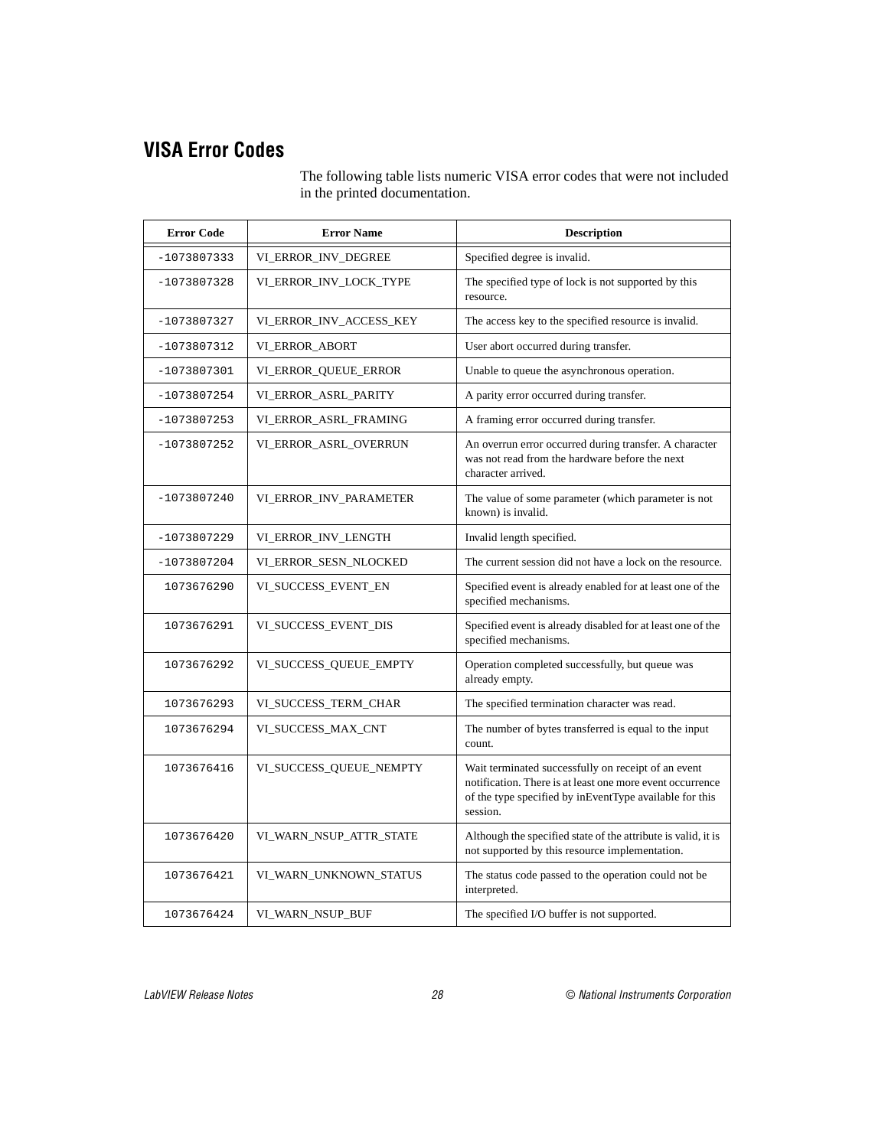## <span id="page-27-0"></span>**VISA Error Codes**

The following table lists numeric VISA error codes that were not included in the printed documentation.

| <b>Error Code</b> | <b>Error Name</b>       | <b>Description</b>                                                                                                                                                                      |
|-------------------|-------------------------|-----------------------------------------------------------------------------------------------------------------------------------------------------------------------------------------|
| $-1073807333$     | VI_ERROR_INV_DEGREE     | Specified degree is invalid.                                                                                                                                                            |
| $-1073807328$     | VI_ERROR_INV_LOCK_TYPE  | The specified type of lock is not supported by this<br>resource.                                                                                                                        |
| $-1073807327$     | VI_ERROR_INV_ACCESS_KEY | The access key to the specified resource is invalid.                                                                                                                                    |
| $-1073807312$     | VI_ERROR_ABORT          | User abort occurred during transfer.                                                                                                                                                    |
| $-1073807301$     | VI_ERROR_QUEUE_ERROR    | Unable to queue the asynchronous operation.                                                                                                                                             |
| $-1073807254$     | VI_ERROR_ASRL_PARITY    | A parity error occurred during transfer.                                                                                                                                                |
| $-1073807253$     | VI_ERROR_ASRL_FRAMING   | A framing error occurred during transfer.                                                                                                                                               |
| -1073807252       | VI_ERROR_ASRL_OVERRUN   | An overrun error occurred during transfer. A character<br>was not read from the hardware before the next<br>character arrived.                                                          |
| $-1073807240$     | VI_ERROR_INV_PARAMETER  | The value of some parameter (which parameter is not<br>known) is invalid.                                                                                                               |
| $-1073807229$     | VI_ERROR_INV_LENGTH     | Invalid length specified.                                                                                                                                                               |
| $-1073807204$     | VI_ERROR_SESN_NLOCKED   | The current session did not have a lock on the resource.                                                                                                                                |
| 1073676290        | VI_SUCCESS_EVENT_EN     | Specified event is already enabled for at least one of the<br>specified mechanisms.                                                                                                     |
| 1073676291        | VI_SUCCESS_EVENT_DIS    | Specified event is already disabled for at least one of the<br>specified mechanisms.                                                                                                    |
| 1073676292        | VI_SUCCESS_QUEUE_EMPTY  | Operation completed successfully, but queue was<br>already empty.                                                                                                                       |
| 1073676293        | VI_SUCCESS_TERM_CHAR    | The specified termination character was read.                                                                                                                                           |
| 1073676294        | VI_SUCCESS_MAX_CNT      | The number of bytes transferred is equal to the input<br>count.                                                                                                                         |
| 1073676416        | VI_SUCCESS_QUEUE_NEMPTY | Wait terminated successfully on receipt of an event<br>notification. There is at least one more event occurrence<br>of the type specified by inEventType available for this<br>session. |
| 1073676420        | VI_WARN_NSUP_ATTR_STATE | Although the specified state of the attribute is valid, it is<br>not supported by this resource implementation.                                                                         |
| 1073676421        | VI_WARN_UNKNOWN_STATUS  | The status code passed to the operation could not be<br>interpreted.                                                                                                                    |
| 1073676424        | VI_WARN_NSUP_BUF        | The specified I/O buffer is not supported.                                                                                                                                              |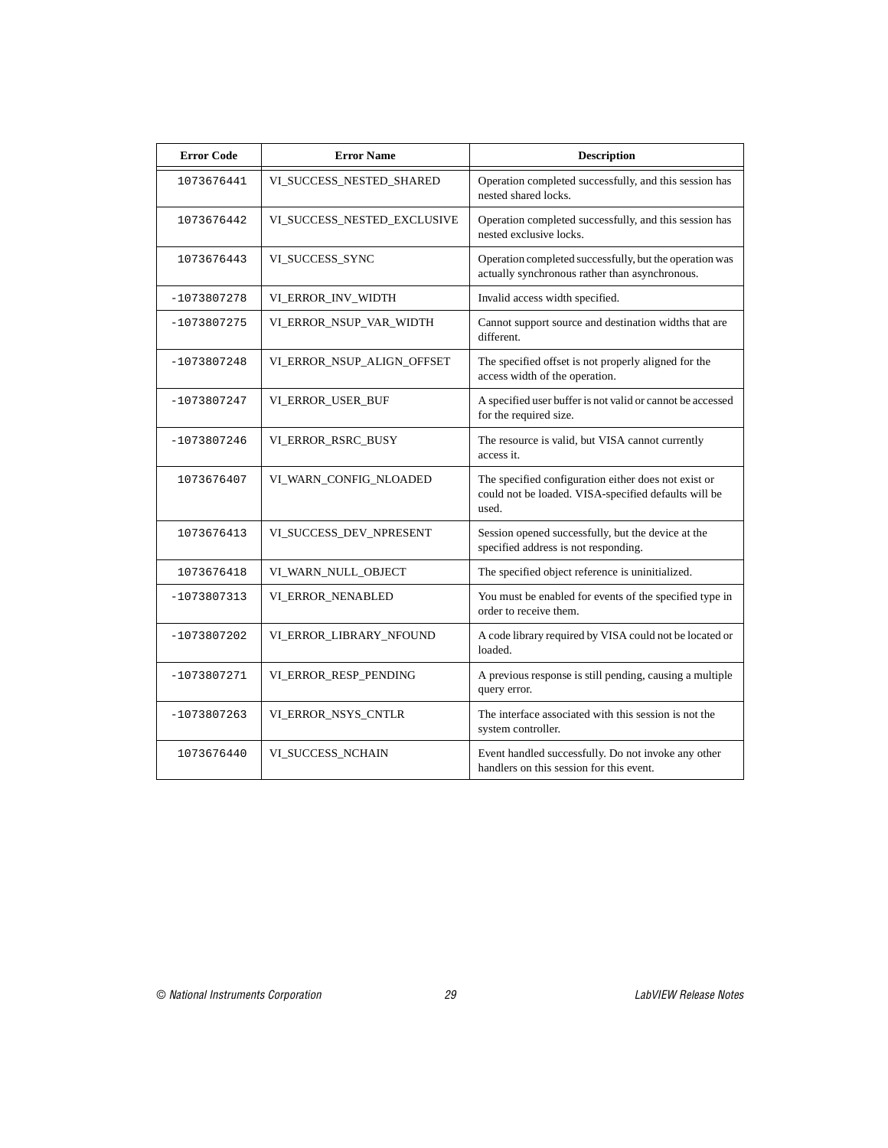| <b>Error Code</b> | <b>Error Name</b>           | <b>Description</b>                                                                                                    |
|-------------------|-----------------------------|-----------------------------------------------------------------------------------------------------------------------|
| 1073676441        | VI_SUCCESS_NESTED_SHARED    | Operation completed successfully, and this session has<br>nested shared locks.                                        |
| 1073676442        | VI_SUCCESS_NESTED_EXCLUSIVE | Operation completed successfully, and this session has<br>nested exclusive locks.                                     |
| 1073676443        | VI_SUCCESS_SYNC             | Operation completed successfully, but the operation was<br>actually synchronous rather than asynchronous.             |
| $-1073807278$     | VI_ERROR_INV_WIDTH          | Invalid access width specified.                                                                                       |
| $-1073807275$     | VI_ERROR_NSUP_VAR_WIDTH     | Cannot support source and destination widths that are<br>different.                                                   |
| $-1073807248$     | VI_ERROR_NSUP_ALIGN_OFFSET  | The specified offset is not properly aligned for the<br>access width of the operation.                                |
| $-1073807247$     | VI_ERROR_USER_BUF           | A specified user buffer is not valid or cannot be accessed<br>for the required size.                                  |
| $-1073807246$     | VI_ERROR_RSRC_BUSY          | The resource is valid, but VISA cannot currently<br>access it.                                                        |
| 1073676407        | VI_WARN_CONFIG_NLOADED      | The specified configuration either does not exist or<br>could not be loaded. VISA-specified defaults will be<br>used. |
| 1073676413        | VI_SUCCESS_DEV_NPRESENT     | Session opened successfully, but the device at the<br>specified address is not responding.                            |
| 1073676418        | VI_WARN_NULL_OBJECT         | The specified object reference is uninitialized.                                                                      |
| $-1073807313$     | VI ERROR NENABLED           | You must be enabled for events of the specified type in<br>order to receive them.                                     |
| $-1073807202$     | VI_ERROR_LIBRARY_NFOUND     | A code library required by VISA could not be located or<br>loaded.                                                    |
| $-1073807271$     | VI_ERROR_RESP_PENDING       | A previous response is still pending, causing a multiple<br>query error.                                              |
| $-1073807263$     | VI_ERROR_NSYS_CNTLR         | The interface associated with this session is not the<br>system controller.                                           |
| 1073676440        | VI_SUCCESS_NCHAIN           | Event handled successfully. Do not invoke any other<br>handlers on this session for this event.                       |